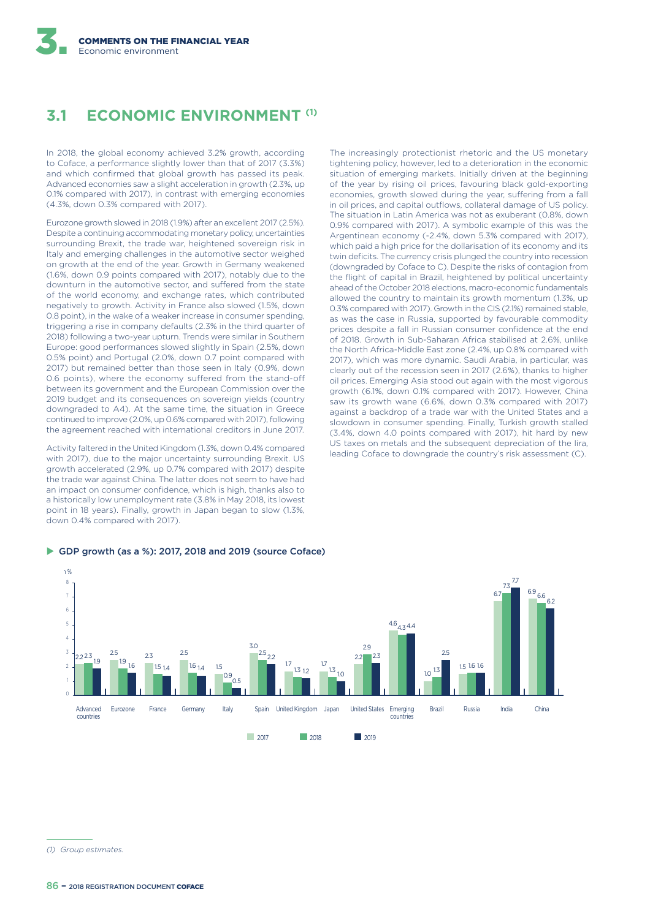# **3.1 ECONOMIC ENVIRONMENT (1)**

In 2018, the global economy achieved 3.2% growth, according to Coface, a performance slightly lower than that of 2017 (3.3%) and which confirmed that global growth has passed its peak. Advanced economies saw a slight acceleration in growth (2.3%, up 0.1% compared with 2017), in contrast with emerging economies (4.3%, down 0.3% compared with 2017).

Eurozone growth slowed in 2018 (1.9%) after an excellent 2017 (2.5%). Despite a continuing accommodating monetary policy, uncertainties surrounding Brexit, the trade war, heightened sovereign risk in Italy and emerging challenges in the automotive sector weighed on growth at the end of the year. Growth in Germany weakened (1.6%, down 0.9 points compared with 2017), notably due to the downturn in the automotive sector, and suffered from the state of the world economy, and exchange rates, which contributed negatively to growth. Activity in France also slowed (1.5%, down 0.8 point), in the wake of a weaker increase in consumer spending, triggering a rise in company defaults (2.3% in the third quarter of 2018) following a two-year upturn. Trends were similar in Southern Europe: good performances slowed slightly in Spain (2.5%, down 0.5% point) and Portugal (2.0%, down 0.7 point compared with 2017) but remained better than those seen in Italy (0.9%, down 0.6 points), where the economy suffered from the stand-off between its government and the European Commission over the 2019 budget and its consequences on sovereign yields (country downgraded to A4). At the same time, the situation in Greece continued to improve (2.0%, up 0.6% compared with 2017), following the agreement reached with international creditors in June 2017.

Activity faltered in the United Kingdom (1.3%, down 0.4% compared with 2017), due to the major uncertainty surrounding Brexit. US growth accelerated (2.9%, up 0.7% compared with 2017) despite the trade war against China. The latter does not seem to have had an impact on consumer confidence, which is high, thanks also to a historically low unemployment rate (3.8% in May 2018, its lowest point in 18 years). Finally, growth in Japan began to slow (1.3%, down 0.4% compared with 2017).

 $\triangleright$  GDP growth (as a %): 2017, 2018 and 2019 (source Coface)

The increasingly protectionist rhetoric and the US monetary tightening policy, however, led to a deterioration in the economic situation of emerging markets. Initially driven at the beginning of the year by rising oil prices, favouring black gold-exporting economies, growth slowed during the year, suffering from a fall in oil prices, and capital outflows, collateral damage of US policy. The situation in Latin America was not as exuberant (0.8%, down 0.9% compared with 2017). A symbolic example of this was the Argentinean economy (-2.4%, down 5.3% compared with 2017), which paid a high price for the dollarisation of its economy and its twin deficits. The currency crisis plunged the country into recession (downgraded by Coface to C). Despite the risks of contagion from the flight of capital in Brazil, heightened by political uncertainty ahead of the October 2018 elections, macro-economic fundamentals allowed the country to maintain its growth momentum (1.3%, up 0.3% compared with 2017). Growth in the CIS (2.1%) remained stable, as was the case in Russia, supported by favourable commodity prices despite a fall in Russian consumer confidence at the end of 2018. Growth in Sub-Saharan Africa stabilised at 2.6%, unlike the North Africa-Middle East zone (2.4%, up 0.8% compared with 2017), which was more dynamic. Saudi Arabia, in particular, was clearly out of the recession seen in 2017 (2.6%), thanks to higher oil prices. Emerging Asia stood out again with the most vigorous growth (6.1%, down 0.1% compared with 2017). However, China saw its growth wane (6.6%, down 0.3% compared with 2017) against a backdrop of a trade war with the United States and a slowdown in consumer spending. Finally, Turkish growth stalled (3.4%, down 4.0 points compared with 2017), hit hard by new US taxes on metals and the subsequent depreciation of the lira, leading Coface to downgrade the country's risk assessment (C).



*<sup>(1)</sup> Group estimates.*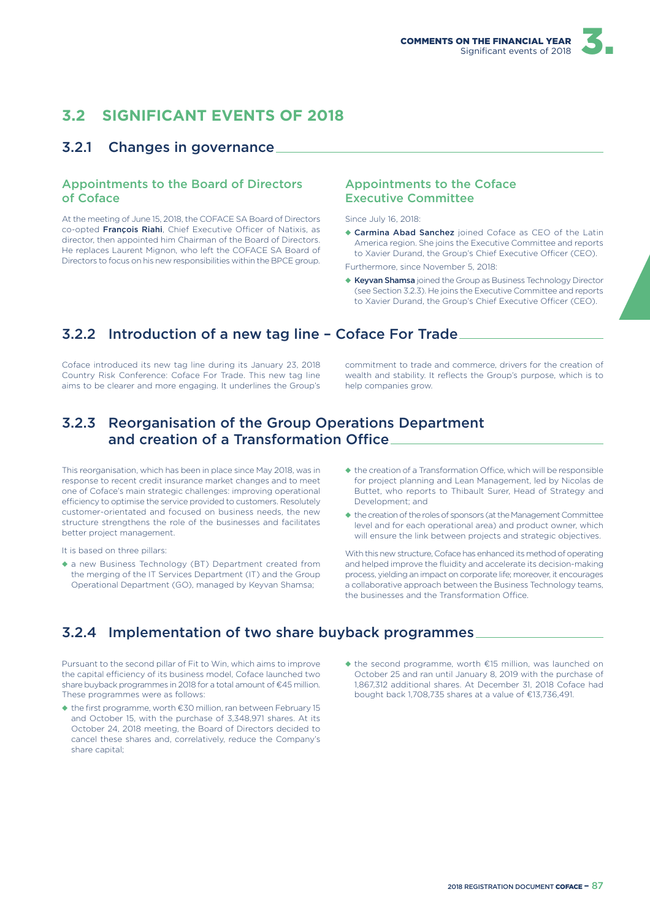# **3.2 SIGNIFICANT EVENTS OF 2018**

### 3.2.1 Changes in governance

#### Appointments to the Board of Directors of Coface

At the meeting of June 15, 2018, the COFACE SA Board of Directors co-opted François Riahi, Chief Executive Officer of Natixis, as director, then appointed him Chairman of the Board of Directors. He replaces Laurent Mignon, who left the COFACE SA Board of Directors to focus on his new responsibilities within the BPCE group.

#### Appointments to the Coface Executive Committee

Since July 16, 2018:

◆ Carmina Abad Sanchez joined Coface as CEO of the Latin America region. She joins the Executive Committee and reports to Xavier Durand, the Group's Chief Executive Officer (CEO).

Furthermore, since November 5, 2018:

◆ Keyvan Shamsa joined the Group as Business Technology Director (see Section 3.2.3). He joins the Executive Committee and reports to Xavier Durand, the Group's Chief Executive Officer (CEO).

# 3.2.2 Introduction of a new tag line – Coface For Trade

Coface introduced its new tag line during its January 23, 2018 Country Risk Conference: Coface For Trade. This new tag line aims to be clearer and more engaging. It underlines the Group's commitment to trade and commerce, drivers for the creation of wealth and stability. It reflects the Group's purpose, which is to help companies grow.

### 3.2.3 Reorganisation of the Group Operations Department and creation of a Transformation Office

This reorganisation, which has been in place since May 2018, was in response to recent credit insurance market changes and to meet one of Coface's main strategic challenges: improving operational efficiency to optimise the service provided to customers. Resolutely customer-orientated and focused on business needs, the new structure strengthens the role of the businesses and facilitates better project management.

It is based on three pillars:

- ◆ a new Business Technology (BT) Department created from the merging of the IT Services Department (IT) and the Group Operational Department (GO), managed by Keyvan Shamsa;
- $\triangle$  the creation of a Transformation Office, which will be responsible for project planning and Lean Management, led by Nicolas de Buttet, who reports to Thibault Surer, Head of Strategy and Development; and
- ◆ the creation of the roles of sponsors (at the Management Committee level and for each operational area) and product owner, which will ensure the link between projects and strategic objectives.

With this new structure, Coface has enhanced its method of operating and helped improve the fluidity and accelerate its decision-making process, yielding an impact on corporate life; moreover, it encourages a collaborative approach between the Business Technology teams, the businesses and the Transformation Office.

# 3.2.4 Implementation of two share buyback programmes

Pursuant to the second pillar of Fit to Win, which aims to improve the capital efficiency of its business model, Coface launched two share buyback programmes in 2018 for a total amount of €45 million. These programmes were as follows:

- ◆ the first programme, worth €30 million, ran between February 15 and October 15, with the purchase of 3,348,971 shares. At its October 24, 2018 meeting, the Board of Directors decided to cancel these shares and, correlatively, reduce the Company's share capital;
- ◆ the second programme, worth €15 million, was launched on October 25 and ran until January 8, 2019 with the purchase of 1,867,312 additional shares. At December 31, 2018 Coface had bought back 1,708,735 shares at a value of €13,736,491.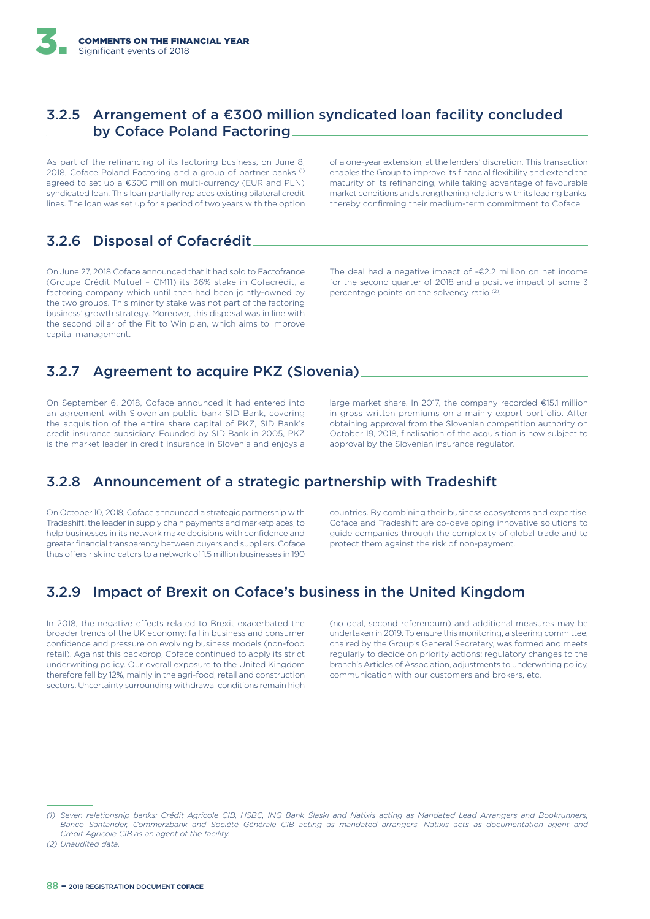### 3.2.5 Arrangement of a €300 million syndicated loan facility concluded by Coface Poland Factoring

As part of the refinancing of its factoring business, on June 8, 2018, Coface Poland Factoring and a group of partner banks (1) agreed to set up a €300 million multi-currency (EUR and PLN) syndicated loan. This loan partially replaces existing bilateral credit lines. The loan was set up for a period of two years with the option

# 3.2.6 Disposal of Cofacrédit

On June 27, 2018 Coface announced that it had sold to Factofrance (Groupe Crédit Mutuel – CM11) its 36% stake in Cofacrédit, a factoring company which until then had been jointly-owned by the two groups. This minority stake was not part of the factoring business' growth strategy. Moreover, this disposal was in line with the second pillar of the Fit to Win plan, which aims to improve capital management.

of a one-year extension, at the lenders' discretion. This transaction enables the Group to improve its financial flexibility and extend the maturity of its refinancing, while taking advantage of favourable market conditions and strengthening relations with its leading banks, thereby confirming their medium-term commitment to Coface.

The deal had a negative impact of -€2.2 million on net income for the second quarter of 2018 and a positive impact of some 3 percentage points on the solvency ratio<sup>(2)</sup>.

# 3.2.7 Agreement to acquire PKZ (Slovenia)

On September 6, 2018, Coface announced it had entered into an agreement with Slovenian public bank SID Bank, covering the acquisition of the entire share capital of PKZ, SID Bank's credit insurance subsidiary. Founded by SID Bank in 2005, PKZ is the market leader in credit insurance in Slovenia and enjoys a

large market share. In 2017, the company recorded €15.1 million in gross written premiums on a mainly export portfolio. After obtaining approval from the Slovenian competition authority on October 19, 2018, finalisation of the acquisition is now subject to approval by the Slovenian insurance regulator.

# 3.2.8 Announcement of a strategic partnership with Tradeshift

On October 10, 2018, Coface announced a strategic partnership with Tradeshift, the leader in supply chain payments and marketplaces, to help businesses in its network make decisions with confidence and greater financial transparency between buyers and suppliers. Coface thus offers risk indicators to a network of 1.5 million businesses in 190

countries. By combining their business ecosystems and expertise, Coface and Tradeshift are co-developing innovative solutions to guide companies through the complexity of global trade and to protect them against the risk of non-payment.

# 3.2.9 Impact of Brexit on Coface's business in the United Kingdom

In 2018, the negative effects related to Brexit exacerbated the broader trends of the UK economy: fall in business and consumer confidence and pressure on evolving business models (non-food retail). Against this backdrop, Coface continued to apply its strict underwriting policy. Our overall exposure to the United Kingdom therefore fell by 12%, mainly in the agri-food, retail and construction sectors. Uncertainty surrounding withdrawal conditions remain high

(no deal, second referendum) and additional measures may be undertaken in 2019. To ensure this monitoring, a steering committee, chaired by the Group's General Secretary, was formed and meets regularly to decide on priority actions: regulatory changes to the branch's Articles of Association, adjustments to underwriting policy, communication with our customers and brokers, etc.

*<sup>(1)</sup> Seven relationship banks: Crédit Agricole CIB, HSBC, ING Bank Ślaski and Natixis acting as Mandated Lead Arrangers and Bookrunners, Banco Santander, Commerzbank and Société Générale CIB acting as mandated arrangers. Natixis acts as documentation agent and Crédit Agricole CIB as an agent of the facility.*

*<sup>(2)</sup> Unaudited data.*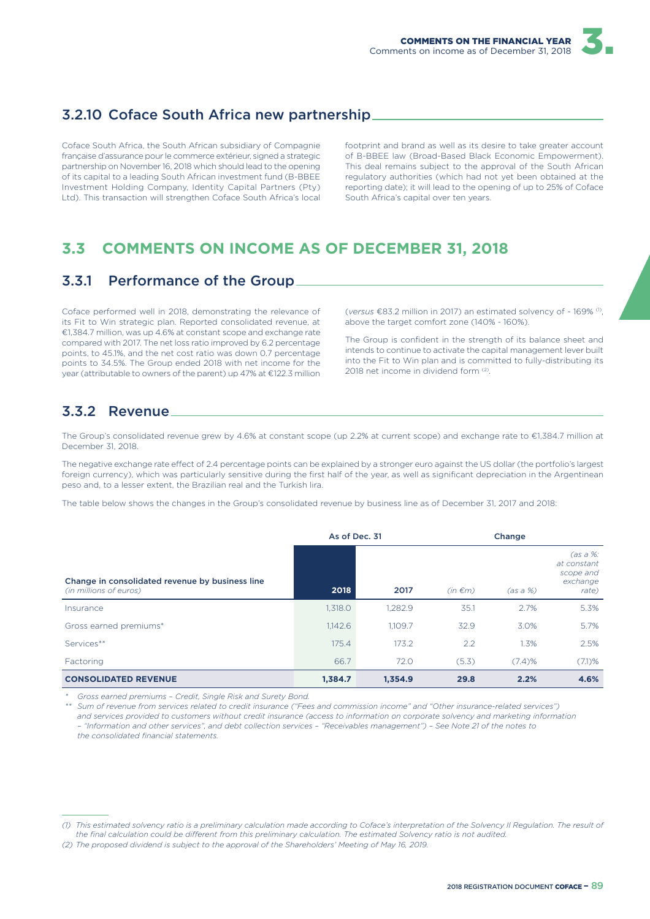# 3.2.10 Coface South Africa new partnership

Coface South Africa, the South African subsidiary of Compagnie française d'assurance pour le commerce extérieur, signed a strategic partnership on November 16, 2018 which should lead to the opening of its capital to a leading South African investment fund (B-BBEE Investment Holding Company, Identity Capital Partners (Pty) Ltd). This transaction will strengthen Coface South Africa's local footprint and brand as well as its desire to take greater account of B-BBEE law (Broad-Based Black Economic Empowerment). This deal remains subject to the approval of the South African regulatory authorities (which had not yet been obtained at the reporting date); it will lead to the opening of up to 25% of Coface South Africa's capital over ten years.

# **3.3 COMMENTS ON INCOME AS OF DECEMBER 31, 2018**

## 3.3.1 Performance of the Group

Coface performed well in 2018, demonstrating the relevance of its Fit to Win strategic plan. Reported consolidated revenue, at €1,384.7 million, was up 4.6% at constant scope and exchange rate compared with 2017. The net loss ratio improved by 6.2 percentage points, to 45.1%, and the net cost ratio was down 0.7 percentage points to 34.5%. The Group ended 2018 with net income for the year (attributable to owners of the parent) up 47% at €122.3 million

(*versus* €83.2 million in 2017) an estimated solvency of ~ 169% (1) , above the target comfort zone (140% - 160%).

The Group is confident in the strength of its balance sheet and intends to continue to activate the capital management lever built into the Fit to Win plan and is committed to fully-distributing its 2018 net income in dividend form (2) .

## 3.3.2 Revenue

The Group's consolidated revenue grew by 4.6% at constant scope (up 2.2% at current scope) and exchange rate to €1,384.7 million at December 31, 2018.

The negative exchange rate effect of 2.4 percentage points can be explained by a stronger euro against the US dollar (the portfolio's largest foreign currency), which was particularly sensitive during the first half of the year, as well as significant depreciation in the Argentinean peso and, to a lesser extent, the Brazilian real and the Turkish lira.

The table below shows the changes in the Group's consolidated revenue by business line as of December 31, 2017 and 2018:

|                                                                           |         | As of Dec. 31 |              | Change     |                                                             |  |
|---------------------------------------------------------------------------|---------|---------------|--------------|------------|-------------------------------------------------------------|--|
| Change in consolidated revenue by business line<br>(in millions of euros) | 2018    | 2017          | $(in \in m)$ | $(as a %)$ | (as a %: )<br>at constant<br>scope and<br>exchange<br>rate) |  |
| Insurance                                                                 | 1,318.0 | 1.282.9       | 35.1         | 2.7%       | 5.3%                                                        |  |
| Gross earned premiums*                                                    | 1,142.6 | 1.109.7       | 32.9         | 3.0%       | 5.7%                                                        |  |
| Services**                                                                | 175.4   | 173.2         | 2.2          | 1.3%       | 2.5%                                                        |  |
| Factoring                                                                 | 66.7    | 72.0          | (5.3)        | (7.4)%     | (7.1)%                                                      |  |
| <b>CONSOLIDATED REVENUE</b>                                               | 1.384.7 | 1.354.9       | 29.8         | 2.2%       | 4.6%                                                        |  |

*\* Gross earned premiums – Credit, Single Risk and Surety Bond.*

*\*\* Sum of revenue from services related to credit insurance ("Fees and commission income" and "Other insurance-related services") and services provided to customers without credit insurance (access to information on corporate solvency and marketing information – "Information and other services", and debt collection services – "Receivables management") – See Note 21 of the notes to the consolidated financial statements.*

*<sup>(1)</sup> This estimated solvency ratio is a preliminary calculation made according to Coface's interpretation of the Solvency II Regulation. The result of*  the final calculation could be different from this preliminary calculation. The estimated Solvency ratio is not audited.

*<sup>(2)</sup> The proposed dividend is subject to the approval of the Shareholders' Meeting of May 16, 2019.*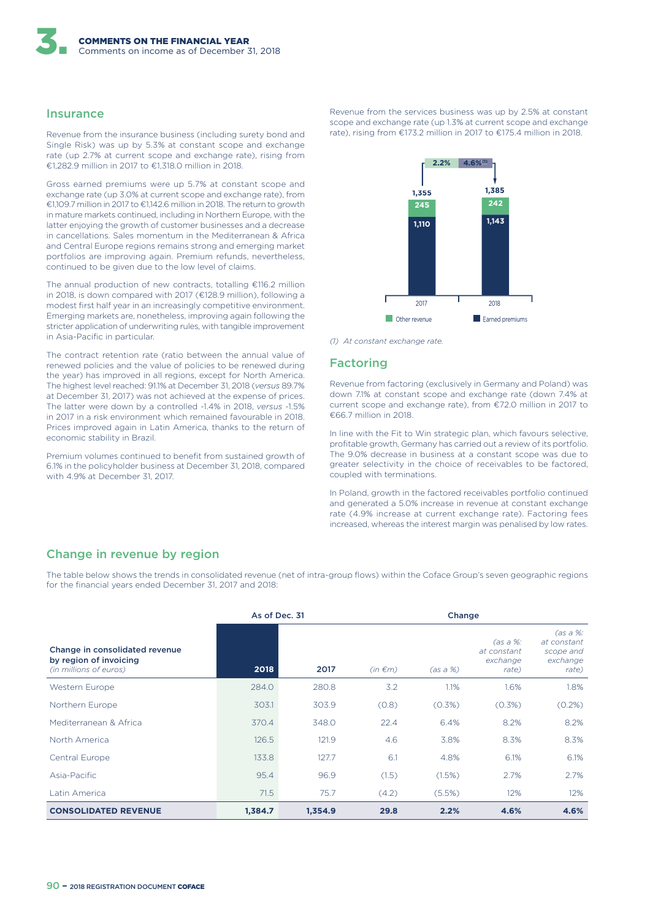#### **Insurance**

Revenue from the insurance business (including surety bond and Single Risk) was up by 5.3% at constant scope and exchange rate (up 2.7% at current scope and exchange rate), rising from €1,282.9 million in 2017 to €1,318.0 million in 2018.

Gross earned premiums were up 5.7% at constant scope and exchange rate (up 3.0% at current scope and exchange rate), from €1,109.7 million in 2017 to €1,142.6 million in 2018. The return to growth in mature markets continued, including in Northern Europe, with the latter enjoying the growth of customer businesses and a decrease in cancellations. Sales momentum in the Mediterranean & Africa and Central Europe regions remains strong and emerging market portfolios are improving again. Premium refunds, nevertheless, continued to be given due to the low level of claims.

The annual production of new contracts, totalling €116.2 million in 2018, is down compared with 2017 (€128.9 million), following a modest first half year in an increasingly competitive environment. Emerging markets are, nonetheless, improving again following the stricter application of underwriting rules, with tangible improvement in Asia-Pacific in particular.

The contract retention rate (ratio between the annual value of renewed policies and the value of policies to be renewed during the year) has improved in all regions, except for North America. The highest level reached: 91.1% at December 31, 2018 (*versus* 89.7% at December 31, 2017) was not achieved at the expense of prices. The latter were down by a controlled -1.4% in 2018, *versus* -1.5% in 2017 in a risk environment which remained favourable in 2018. Prices improved again in Latin America, thanks to the return of economic stability in Brazil.

Premium volumes continued to benefit from sustained growth of 6.1% in the policyholder business at December 31, 2018, compared with 4.9% at December 31, 2017.

Revenue from the services business was up by 2.5% at constant scope and exchange rate (up 1.3% at current scope and exchange rate), rising from €173.2 million in 2017 to €175.4 million in 2018.



*(1) At constant exchange rate.*

#### Factoring

Revenue from factoring (exclusively in Germany and Poland) was down 7.1% at constant scope and exchange rate (down 7.4% at current scope and exchange rate), from €72.0 million in 2017 to €66.7 million in 2018.

In line with the Fit to Win strategic plan, which favours selective, profitable growth, Germany has carried out a review of its portfolio. The 9.0% decrease in business at a constant scope was due to greater selectivity in the choice of receivables to be factored, coupled with terminations.

In Poland, growth in the factored receivables portfolio continued and generated a 5.0% increase in revenue at constant exchange rate (4.9% increase at current exchange rate). Factoring fees increased, whereas the interest margin was penalised by low rates.

### Change in revenue by region

The table below shows the trends in consolidated revenue (net of intra-group flows) within the Coface Group's seven geographic regions for the financial years ended December 31, 2017 and 2018:

|                                                                                    | As of Dec. 31 |         | Change       |          |                                              |                                                             |
|------------------------------------------------------------------------------------|---------------|---------|--------------|----------|----------------------------------------------|-------------------------------------------------------------|
| Change in consolidated revenue<br>by region of invoicing<br>(in millions of euros) | 2018          | 2017    | $(in \in m)$ | (as a %) | (as a %:<br>at constant<br>exchange<br>rate) | (as a %: )<br>at constant<br>scope and<br>exchange<br>rate) |
| Western Europe                                                                     | 284.0         | 280.8   | 3.2          | 1.1%     | 1.6%                                         | 1.8%                                                        |
| Northern Europe                                                                    | 303.1         | 303.9   | (0.8)        | (0.3%)   | (0.3%)                                       | (0.2%)                                                      |
| Mediterranean & Africa                                                             | 370.4         | 348.0   | 22.4         | 6.4%     | 8.2%                                         | 8.2%                                                        |
| North America                                                                      | 126.5         | 121.9   | 4.6          | 3.8%     | 8.3%                                         | 8.3%                                                        |
| Central Europe                                                                     | 133.8         | 127.7   | 6.1          | 4.8%     | 6.1%                                         | 6.1%                                                        |
| Asia-Pacific                                                                       | 95.4          | 96.9    | (1.5)        | (1.5%)   | 2.7%                                         | 2.7%                                                        |
| Latin America                                                                      | 71.5          | 75.7    | (4.2)        | (5.5%)   | 12%                                          | 12%                                                         |
| <b>CONSOLIDATED REVENUE</b>                                                        | 1,384.7       | 1,354.9 | 29.8         | 2.2%     | 4.6%                                         | 4.6%                                                        |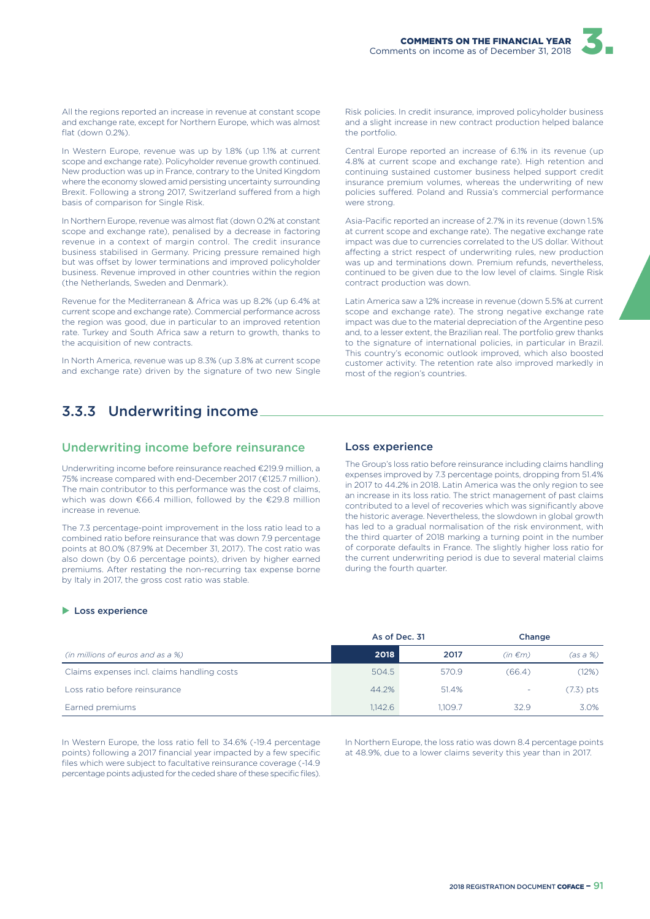

All the regions reported an increase in revenue at constant scope and exchange rate, except for Northern Europe, which was almost flat (down 0.2%)

In Western Europe, revenue was up by 1.8% (up 1.1% at current scope and exchange rate). Policyholder revenue growth continued. New production was up in France, contrary to the United Kingdom where the economy slowed amid persisting uncertainty surrounding Brexit. Following a strong 2017, Switzerland suffered from a high basis of comparison for Single Risk.

In Northern Europe, revenue was almost flat (down 0.2% at constant scope and exchange rate), penalised by a decrease in factoring revenue in a context of margin control. The credit insurance business stabilised in Germany. Pricing pressure remained high but was offset by lower terminations and improved policyholder business. Revenue improved in other countries within the region (the Netherlands, Sweden and Denmark).

Revenue for the Mediterranean & Africa was up 8.2% (up 6.4% at current scope and exchange rate). Commercial performance across the region was good, due in particular to an improved retention rate. Turkey and South Africa saw a return to growth, thanks to the acquisition of new contracts.

In North America, revenue was up 8.3% (up 3.8% at current scope and exchange rate) driven by the signature of two new Single Risk policies. In credit insurance, improved policyholder business and a slight increase in new contract production helped balance the portfolio.

Central Europe reported an increase of 6.1% in its revenue (up 4.8% at current scope and exchange rate). High retention and continuing sustained customer business helped support credit insurance premium volumes, whereas the underwriting of new policies suffered. Poland and Russia's commercial performance were strong.

Asia-Pacific reported an increase of 2.7% in its revenue (down 1.5% at current scope and exchange rate). The negative exchange rate impact was due to currencies correlated to the US dollar. Without affecting a strict respect of underwriting rules, new production was up and terminations down. Premium refunds, nevertheless, continued to be given due to the low level of claims. Single Risk contract production was down.

Latin America saw a 12% increase in revenue (down 5.5% at current scope and exchange rate). The strong negative exchange rate impact was due to the material depreciation of the Argentine peso and, to a lesser extent, the Brazilian real. The portfolio grew thanks to the signature of international policies, in particular in Brazil. This country's economic outlook improved, which also boosted customer activity. The retention rate also improved markedly in most of the region's countries.

# 3.3.3 Underwriting income

#### Underwriting income before reinsurance

Underwriting income before reinsurance reached €219.9 million, a 75% increase compared with end-December 2017 (€125.7 million). The main contributor to this performance was the cost of claims, which was down €66.4 million, followed by the €29.8 million increase in revenue.

The 7.3 percentage-point improvement in the loss ratio lead to a combined ratio before reinsurance that was down 7.9 percentage points at 80.0% (87.9% at December 31, 2017). The cost ratio was also down (by 0.6 percentage points), driven by higher earned premiums. After restating the non-recurring tax expense borne by Italy in 2017, the gross cost ratio was stable.

#### Loss experience

The Group's loss ratio before reinsurance including claims handling expenses improved by 7.3 percentage points, dropping from 51.4% in 2017 to 44.2% in 2018. Latin America was the only region to see an increase in its loss ratio. The strict management of past claims contributed to a level of recoveries which was significantly above the historic average. Nevertheless, the slowdown in global growth has led to a gradual normalisation of the risk environment, with the third quarter of 2018 marking a turning point in the number of corporate defaults in France. The slightly higher loss ratio for the current underwriting period is due to several material claims during the fourth quarter.

#### $\blacktriangleright$  Loss experience

|                                             | As of Dec. 31 |         | Change                   |           |
|---------------------------------------------|---------------|---------|--------------------------|-----------|
| (in millions of euros and as a %)           | 2018          | 2017    | $(in \in m)$             | (as a %)  |
| Claims expenses incl. claims handling costs | 504.5         | 570.9   | (66.4)                   | (12%)     |
| Loss ratio before reinsurance               | 44.2%         | 51.4%   | $\overline{\phantom{a}}$ | (7.3) pts |
| Earned premiums                             | 1.142.6       | 1.109.7 | 32.9                     | 3.0%      |

In Western Europe, the loss ratio fell to 34.6% (-19.4 percentage points) following a 2017 financial year impacted by a few specific files which were subject to facultative reinsurance coverage (-14.9 percentage points adjusted for the ceded share of these specific files). In Northern Europe, the loss ratio was down 8.4 percentage points at 48.9%, due to a lower claims severity this year than in 2017.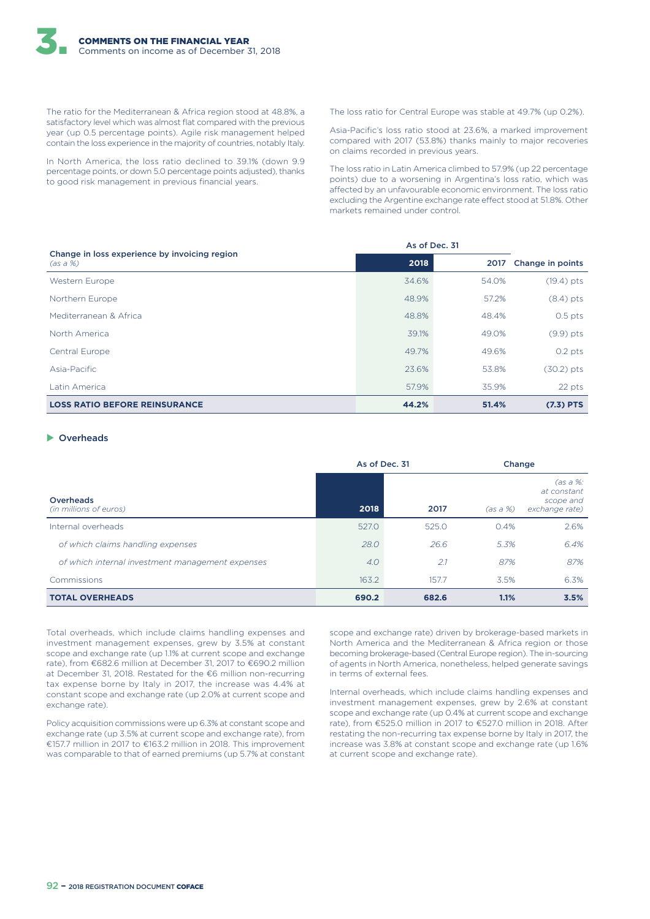The ratio for the Mediterranean & Africa region stood at 48.8%, a satisfactory level which was almost flat compared with the previous year (up 0.5 percentage points). Agile risk management helped contain the loss experience in the majority of countries, notably Italy.

In North America, the loss ratio declined to 39.1% (down 9.9 percentage points, or down 5.0 percentage points adjusted), thanks to good risk management in previous financial years.

The loss ratio for Central Europe was stable at 49.7% (up 0.2%).

Asia-Pacific's loss ratio stood at 23.6%, a marked improvement compared with 2017 (53.8%) thanks mainly to major recoveries on claims recorded in previous years.

The loss ratio in Latin America climbed to 57.9% (up 22 percentage points) due to a worsening in Argentina's loss ratio, which was affected by an unfavourable economic environment. The loss ratio excluding the Argentine exchange rate effect stood at 51.8%. Other markets remained under control.

|                                                           | As of Dec. 31 |       |                  |
|-----------------------------------------------------------|---------------|-------|------------------|
| Change in loss experience by invoicing region<br>(as a %) | 2018          | 2017  | Change in points |
| Western Europe                                            | 34.6%         | 54.0% | $(19.4)$ pts     |
| Northern Europe                                           | 48.9%         | 57.2% | $(8.4)$ pts      |
| Mediterranean & Africa                                    | 48.8%         | 48.4% | $0.5$ pts        |
| North America                                             | 39.1%         | 49.0% | $(9.9)$ pts      |
| Central Europe                                            | 49.7%         | 49.6% | $0.2$ pts        |
| Asia-Pacific                                              | 23.6%         | 53.8% | $(30.2)$ pts     |
| Latin America                                             | 57.9%         | 35.9% | 22 pts           |
| <b>LOSS RATIO BEFORE REINSURANCE</b>                      | 44.2%         | 51.4% | $(7.3)$ PTS      |

#### $\triangleright$  Overheads

|                                                  | As of Dec. 31 |       |          | Change                                                 |  |
|--------------------------------------------------|---------------|-------|----------|--------------------------------------------------------|--|
| Overheads<br>(in millions of euros)              | 2018          | 2017  | (as a %) | (as a %:<br>at constant<br>scope and<br>exchange rate) |  |
| Internal overheads                               | 527.0         | 525.0 | 0.4%     | 2.6%                                                   |  |
| of which claims handling expenses                | 28.0          | 26.6  | 5.3%     | 6.4%                                                   |  |
| of which internal investment management expenses | 4.0           | 2.1   | 87%      | 87%                                                    |  |
| Commissions                                      | 163.2         | 157.7 | 3.5%     | 6.3%                                                   |  |
| <b>TOTAL OVERHEADS</b>                           | 690.2         | 682.6 | 1.1%     | 3.5%                                                   |  |

Total overheads, which include claims handling expenses and investment management expenses, grew by 3.5% at constant scope and exchange rate (up 1.1% at current scope and exchange rate), from €682.6 million at December 31, 2017 to €690.2 million at December 31, 2018. Restated for the €6 million non-recurring tax expense borne by Italy in 2017, the increase was 4.4% at constant scope and exchange rate (up 2.0% at current scope and exchange rate).

Policy acquisition commissions were up 6.3% at constant scope and exchange rate (up 3.5% at current scope and exchange rate), from €157.7 million in 2017 to €163.2 million in 2018. This improvement was comparable to that of earned premiums (up 5.7% at constant

scope and exchange rate) driven by brokerage-based markets in North America and the Mediterranean & Africa region or those becoming brokerage-based (Central Europe region). The in-sourcing of agents in North America, nonetheless, helped generate savings in terms of external fees.

Internal overheads, which include claims handling expenses and investment management expenses, grew by 2.6% at constant scope and exchange rate (up 0.4% at current scope and exchange rate), from €525.0 million in 2017 to €527.0 million in 2018. After restating the non-recurring tax expense borne by Italy in 2017, the increase was 3.8% at constant scope and exchange rate (up 1.6% at current scope and exchange rate).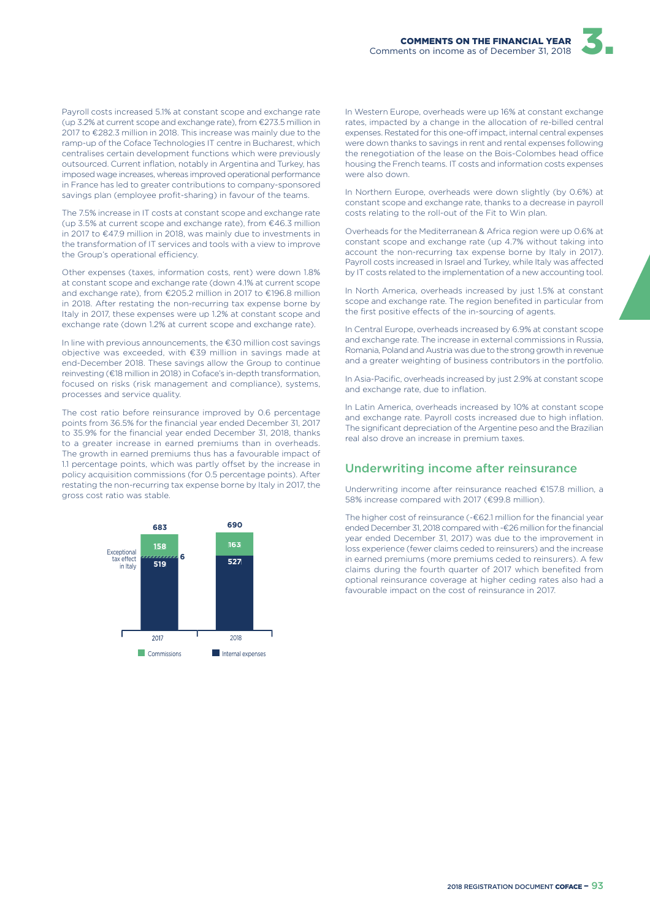Payroll costs increased 5.1% at constant scope and exchange rate (up 3.2% at current scope and exchange rate), from €273.5 million in 2017 to €282.3 million in 2018. This increase was mainly due to the ramp-up of the Coface Technologies IT centre in Bucharest, which centralises certain development functions which were previously outsourced. Current inflation, notably in Argentina and Turkey, has imposed wage increases, whereas improved operational performance in France has led to greater contributions to company-sponsored savings plan (employee profit-sharing) in favour of the teams.

The 7.5% increase in IT costs at constant scope and exchange rate (up 3.5% at current scope and exchange rate), from €46.3 million in 2017 to €47.9 million in 2018, was mainly due to investments in the transformation of IT services and tools with a view to improve the Group's operational efficiency.

Other expenses (taxes, information costs, rent) were down 1.8% at constant scope and exchange rate (down 4.1% at current scope and exchange rate), from €205.2 million in 2017 to €196.8 million in 2018. After restating the non-recurring tax expense borne by Italy in 2017, these expenses were up 1.2% at constant scope and exchange rate (down 1.2% at current scope and exchange rate).

In line with previous announcements, the €30 million cost savings objective was exceeded, with €39 million in savings made at end-December 2018. These savings allow the Group to continue reinvesting (€18 million in 2018) in Coface's in-depth transformation, focused on risks (risk management and compliance), systems, processes and service quality.

The cost ratio before reinsurance improved by 0.6 percentage points from 36.5% for the financial year ended December 31, 2017 to 35.9% for the financial year ended December 31, 2018, thanks to a greater increase in earned premiums than in overheads. The growth in earned premiums thus has a favourable impact of 1.1 percentage points, which was partly offset by the increase in policy acquisition commissions (for 0.5 percentage points). After restating the non-recurring tax expense borne by Italy in 2017, the gross cost ratio was stable.



In Western Europe, overheads were up 16% at constant exchange rates, impacted by a change in the allocation of re-billed central expenses. Restated for this one-off impact, internal central expenses were down thanks to savings in rent and rental expenses following the renegotiation of the lease on the Bois-Colombes head office housing the French teams. IT costs and information costs expenses were also down.

In Northern Europe, overheads were down slightly (by 0.6%) at constant scope and exchange rate, thanks to a decrease in payroll costs relating to the roll-out of the Fit to Win plan.

Overheads for the Mediterranean & Africa region were up 0.6% at constant scope and exchange rate (up 4.7% without taking into account the non-recurring tax expense borne by Italy in 2017). Payroll costs increased in Israel and Turkey, while Italy was affected by IT costs related to the implementation of a new accounting tool.

In North America, overheads increased by just 1.5% at constant scope and exchange rate. The region benefited in particular from the first positive effects of the in-sourcing of agents.

In Central Europe, overheads increased by 6.9% at constant scope and exchange rate. The increase in external commissions in Russia, Romania, Poland and Austria was due to the strong growth in revenue and a greater weighting of business contributors in the portfolio.

In Asia-Pacific, overheads increased by just 2.9% at constant scope and exchange rate, due to inflation.

In Latin America, overheads increased by 10% at constant scope and exchange rate. Payroll costs increased due to high inflation. The significant depreciation of the Argentine peso and the Brazilian real also drove an increase in premium taxes.

#### Underwriting income after reinsurance

Underwriting income after reinsurance reached €157.8 million, a 58% increase compared with 2017 (€99.8 million).

The higher cost of reinsurance (-€62.1 million for the financial year ended December 31, 2018 compared with -€26 million for the financial year ended December 31, 2017) was due to the improvement in loss experience (fewer claims ceded to reinsurers) and the increase in earned premiums (more premiums ceded to reinsurers). A few claims during the fourth quarter of 2017 which benefited from optional reinsurance coverage at higher ceding rates also had a favourable impact on the cost of reinsurance in 2017.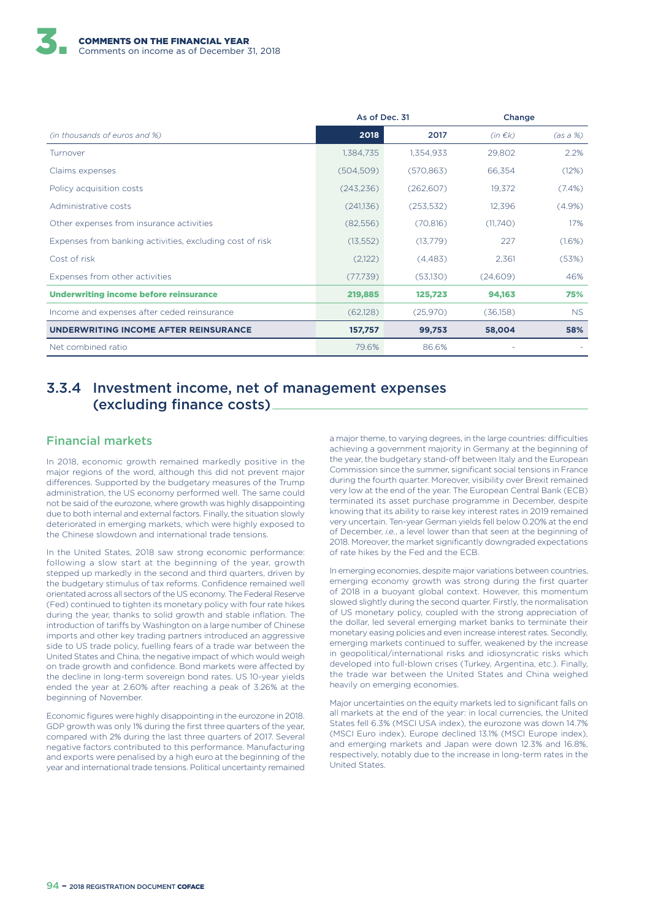|                                                          | As of Dec. 31 |            |              | Change    |  |
|----------------------------------------------------------|---------------|------------|--------------|-----------|--|
| (in thousands of euros and %)                            | 2018          | 2017       | $(in \in k)$ | (as a %)  |  |
| Turnover                                                 | 1,384,735     | 1,354,933  | 29,802       | 2.2%      |  |
| Claims expenses                                          | (504, 509)    | (570, 863) | 66,354       | (12%)     |  |
| Policy acquisition costs                                 | (243, 236)    | (262, 607) | 19,372       | $(7.4\%)$ |  |
| Administrative costs                                     | (241,136)     | (253, 532) | 12,396       | (4.9%)    |  |
| Other expenses from insurance activities                 | (82,556)      | (70, 816)  | (11,740)     | 17%       |  |
| Expenses from banking activities, excluding cost of risk | (13, 552)     | (13,779)   | 227          | (1.6%)    |  |
| Cost of risk                                             | (2,122)       | (4,483)    | 2,361        | (53%)     |  |
| Expenses from other activities                           | (77, 739)     | (53,130)   | (24,609)     | 46%       |  |
| <b>Underwriting income before reinsurance</b>            | 219,885       | 125,723    | 94,163       | 75%       |  |
| Income and expenses after ceded reinsurance              | (62,128)      | (25,970)   | (36,158)     | NS.       |  |
| UNDERWRITING INCOME AFTER REINSURANCE                    | 157,757       | 99,753     | 58,004       | 58%       |  |
| Net combined ratio                                       | 79.6%         | 86.6%      |              |           |  |

### 3.3.4 Investment income, net of management expenses (excluding finance costs)

### Financial markets

In 2018, economic growth remained markedly positive in the major regions of the word, although this did not prevent major differences. Supported by the budgetary measures of the Trump administration, the US economy performed well. The same could not be said of the eurozone, where growth was highly disappointing due to both internal and external factors. Finally, the situation slowly deteriorated in emerging markets, which were highly exposed to the Chinese slowdown and international trade tensions.

In the United States, 2018 saw strong economic performance: following a slow start at the beginning of the year, growth stepped up markedly in the second and third quarters, driven by the budgetary stimulus of tax reforms. Confidence remained well orientated across all sectors of the US economy. The Federal Reserve (Fed) continued to tighten its monetary policy with four rate hikes during the year, thanks to solid growth and stable inflation. The introduction of tariffs by Washington on a large number of Chinese imports and other key trading partners introduced an aggressive side to US trade policy, fuelling fears of a trade war between the United States and China, the negative impact of which would weigh on trade growth and confidence. Bond markets were affected by the decline in long-term sovereign bond rates. US 10-year yields ended the year at 2.60% after reaching a peak of 3.26% at the beginning of November.

Economic figures were highly disappointing in the eurozone in 2018. GDP growth was only 1% during the first three quarters of the year, compared with 2% during the last three quarters of 2017. Several negative factors contributed to this performance. Manufacturing and exports were penalised by a high euro at the beginning of the year and international trade tensions. Political uncertainty remained a major theme, to varying degrees, in the large countries: difficulties achieving a government majority in Germany at the beginning of the year, the budgetary stand-off between Italy and the European Commission since the summer, significant social tensions in France during the fourth quarter. Moreover, visibility over Brexit remained very low at the end of the year. The European Central Bank (ECB) terminated its asset purchase programme in December, despite knowing that its ability to raise key interest rates in 2019 remained very uncertain. Ten-year German yields fell below 0.20% at the end of December, *i.e.*, a level lower than that seen at the beginning of 2018. Moreover, the market significantly downgraded expectations of rate hikes by the Fed and the ECB.

In emerging economies, despite major variations between countries, emerging economy growth was strong during the first quarter of 2018 in a buoyant global context. However, this momentum slowed slightly during the second quarter. Firstly, the normalisation of US monetary policy, coupled with the strong appreciation of the dollar, led several emerging market banks to terminate their monetary easing policies and even increase interest rates. Secondly, emerging markets continued to suffer, weakened by the increase in geopolitical/international risks and idiosyncratic risks which developed into full-blown crises (Turkey, Argentina, etc.). Finally, the trade war between the United States and China weighed heavily on emerging economies.

Major uncertainties on the equity markets led to significant falls on all markets at the end of the year: in local currencies, the United States fell 6.3% (MSCI USA index), the eurozone was down 14.7% (MSCI Euro index), Europe declined 13.1% (MSCI Europe index), and emerging markets and Japan were down 12.3% and 16.8%, respectively, notably due to the increase in long-term rates in the United States.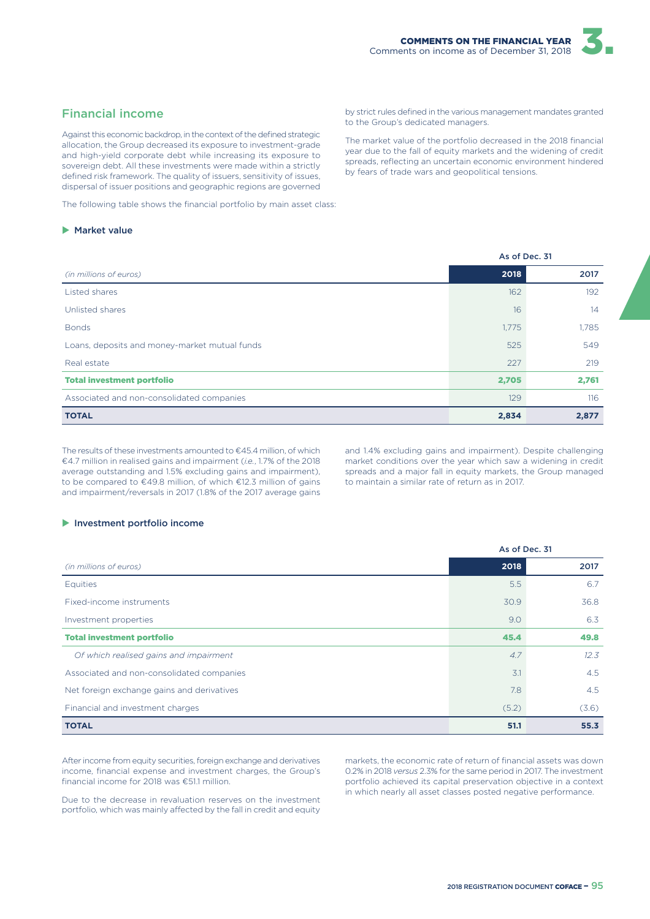#### Financial income

Against this economic backdrop, in the context of the defined strategic allocation, the Group decreased its exposure to investment-grade and high-yield corporate debt while increasing its exposure to sovereign debt. All these investments were made within a strictly defined risk framework. The quality of issuers, sensitivity of issues, dispersal of issuer positions and geographic regions are governed

The following table shows the financial portfolio by main asset class:

#### $\blacktriangleright$  Market value

by strict rules defined in the various management mandates granted to the Group's dedicated managers.

The market value of the portfolio decreased in the 2018 financial year due to the fall of equity markets and the widening of credit spreads, reflecting an uncertain economic environment hindered by fears of trade wars and geopolitical tensions.

| As of Dec. 31 |       |  |
|---------------|-------|--|
| 2018          | 2017  |  |
| 162           | 192   |  |
| 16            | 14    |  |
| 1,775         | 1,785 |  |
| 525           | 549   |  |
| 227           | 219   |  |
| 2,705         | 2,761 |  |
| 129           | 116   |  |
| 2,834         | 2,877 |  |
|               |       |  |

The results of these investments amounted to €45.4 million, of which €4.7 million in realised gains and impairment (*i.e.*, 1.7% of the 2018 average outstanding and 1.5% excluding gains and impairment), to be compared to €49.8 million, of which €12.3 million of gains and impairment/reversals in 2017 (1.8% of the 2017 average gains and 1.4% excluding gains and impairment). Despite challenging market conditions over the year which saw a widening in credit spreads and a major fall in equity markets, the Group managed to maintain a similar rate of return as in 2017.

As of Dec. 31

#### $\blacktriangleright$  Investment portfolio income

|                                            | AS OF DEC. 51 |               |
|--------------------------------------------|---------------|---------------|
| (in millions of euros)                     | 2018          | 2017          |
| Equities                                   | 5.5           | 6.7           |
| Fixed-income instruments                   | 30.9          | 36.8          |
| Investment properties                      | 9.0           | 6.3           |
| <b>Total investment portfolio</b>          | 45.4          | 49.8          |
| Of which realised gains and impairment     | 4.7           | 12.3          |
| Associated and non-consolidated companies  | 3.1           | $4.5^{\circ}$ |
| Net foreign exchange gains and derivatives | 7.8           | 4.5           |
| Financial and investment charges           | (5.2)         | (3.6)         |
| <b>TOTAL</b>                               | 51.1          | 55.3          |

After income from equity securities, foreign exchange and derivatives income, financial expense and investment charges, the Group's financial income for 2018 was €51.1 million.

Due to the decrease in revaluation reserves on the investment portfolio, which was mainly affected by the fall in credit and equity markets, the economic rate of return of financial assets was down 0.2% in 2018 *versus* 2.3% for the same period in 2017. The investment portfolio achieved its capital preservation objective in a context in which nearly all asset classes posted negative performance.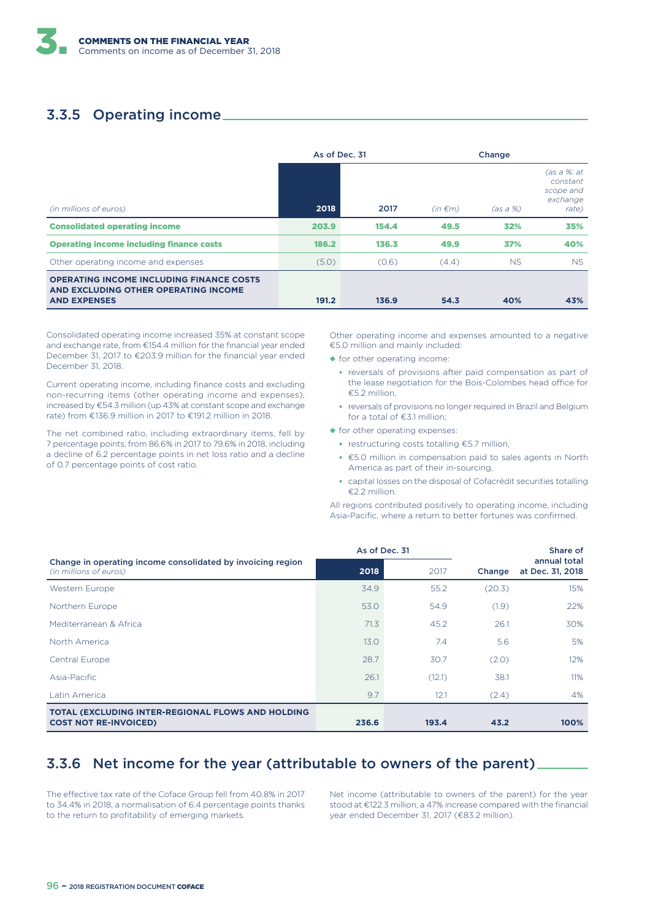# 3.3.5 Operating income

|                                                                                                                | As of Dec. 31 |       | Change       |           |                                                           |  |
|----------------------------------------------------------------------------------------------------------------|---------------|-------|--------------|-----------|-----------------------------------------------------------|--|
| (in millions of euros)                                                                                         | 2018          | 2017  | $(in \in m)$ | (as a %)  | (as a %: at<br>constant<br>scope and<br>exchange<br>rate) |  |
| <b>Consolidated operating income</b>                                                                           | 203.9         | 154.4 | 49.5         | 32%       | 35%                                                       |  |
| <b>Operating income including finance costs</b>                                                                | 186.2         | 136.3 | 49.9         | 37%       | 40%                                                       |  |
| Other operating income and expenses                                                                            | (5.0)         | (0.6) | (4.4)        | <b>NS</b> | <b>NS</b>                                                 |  |
| <b>OPERATING INCOME INCLUDING FINANCE COSTS</b><br>AND EXCLUDING OTHER OPERATING INCOME<br><b>AND EXPENSES</b> | 191.2         | 136.9 | 54.3         | 40%       | 43%                                                       |  |

Consolidated operating income increased 35% at constant scope and exchange rate, from €154.4 million for the financial year ended December 31, 2017 to €203.9 million for the financial year ended December 31, 2018.

Current operating income, including finance costs and excluding non-recurring items (other operating income and expenses), increased by €54.3 million (up 43% at constant scope and exchange rate) from €136.9 million in 2017 to €191.2 million in 2018.

The net combined ratio, including extraordinary items, fell by 7 percentage points, from 86.6% in 2017 to 79.6% in 2018, including a decline of 6.2 percentage points in net loss ratio and a decline of 0.7 percentage points of cost ratio.

Other operating income and expenses amounted to a negative €5.0 million and mainly included:

- ◆ for other operating income:
	- reversals of provisions after paid compensation as part of the lease negotiation for the Bois-Colombes head office for €5.2 million,
	- reversals of provisions no longer required in Brazil and Belgium for a total of €3.1 million;
- ◆ for other operating expenses:
	- restructuring costs totalling €5.7 million,
	- €5.0 million in compensation paid to sales agents in North America as part of their in-sourcing,
	- capital losses on the disposal of Cofacrédit securities totalling €2.2 million.

All regions contributed positively to operating income, including Asia-Pacific, where a return to better fortunes was confirmed.

|                                                                                          | As of Dec. 31 |        |        | Share of                         |
|------------------------------------------------------------------------------------------|---------------|--------|--------|----------------------------------|
| Change in operating income consolidated by invoicing region<br>(in millions of euros)    | 2018          | 2017   | Change | annual total<br>at Dec. 31, 2018 |
| Western Europe                                                                           | 34.9          | 55.2   | (20.3) | 15%                              |
| Northern Europe                                                                          | 53.0          | 54.9   | (1.9)  | 22%                              |
| Mediterranean & Africa                                                                   | 71.3          | 45.2   | 26.1   | 30%                              |
| North America                                                                            | 13.0          | 7.4    | 5.6    | 5%                               |
| Central Europe                                                                           | 28.7          | 30.7   | (2.0)  | 12%                              |
| Asia-Pacific                                                                             | 26.1          | (12.1) | 38.1   | 11%                              |
| Latin America                                                                            | 9.7           | 12.1   | (2.4)  | 4%                               |
| <b>TOTAL (EXCLUDING INTER-REGIONAL FLOWS AND HOLDING</b><br><b>COST NOT RE-INVOICED)</b> | 236.6         | 193.4  | 43.2   | 100%                             |

# 3.3.6 Net income for the year (attributable to owners of the parent)

The effective tax rate of the Coface Group fell from 40.8% in 2017 to 34.4% in 2018, a normalisation of 6.4 percentage points thanks to the return to profitability of emerging markets.

Net income (attributable to owners of the parent) for the year stood at €122.3 million, a 47% increase compared with the financial year ended December 31, 2017 (€83.2 million).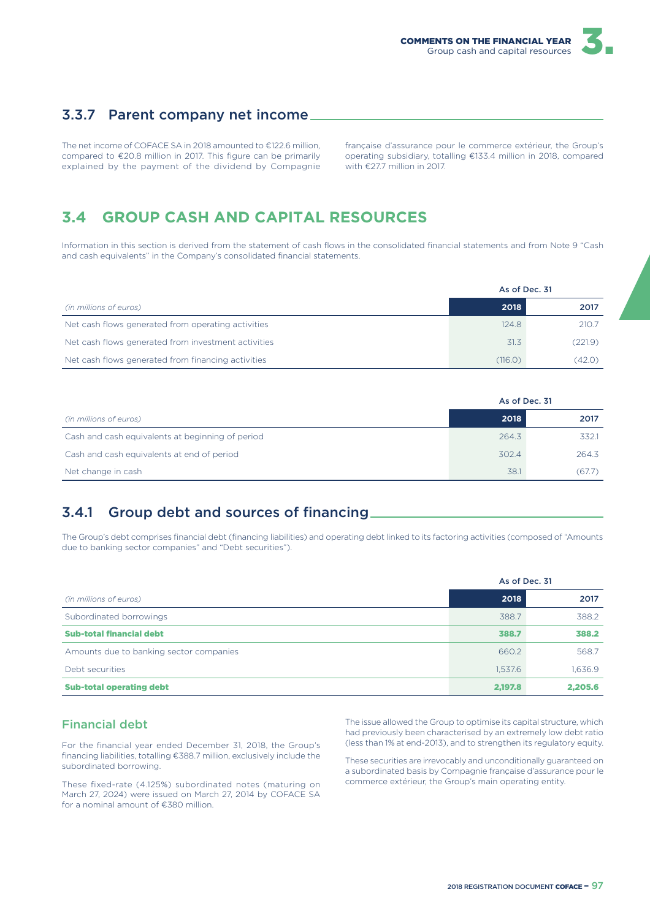

### 3.3.7 Parent company net income

The net income of COFACE SA in 2018 amounted to €122.6 million, compared to €20.8 million in 2017. This figure can be primarily explained by the payment of the dividend by Compagnie française d'assurance pour le commerce extérieur, the Group's operating subsidiary, totalling €133.4 million in 2018, compared with €277 million in 2017

# **3.4 GROUP CASH AND CAPITAL RESOURCES**

Information in this section is derived from the statement of cash flows in the consolidated financial statements and from Note 9 "Cash and cash equivalents" in the Company's consolidated financial statements.

|                                                     | As of Dec. 31 |         |
|-----------------------------------------------------|---------------|---------|
| (in millions of euros)                              | 2018          | 2017    |
| Net cash flows generated from operating activities  | 124.8         | 210.7   |
| Net cash flows generated from investment activities | 31.3          | (221.9) |
| Net cash flows generated from financing activities  | (116.0)       | (42.0)  |

|                                                  | As of Dec. 31 |        |  |
|--------------------------------------------------|---------------|--------|--|
| (in millions of euros)                           | 2018          | 2017   |  |
| Cash and cash equivalents at beginning of period | 264.3         | 332.1  |  |
| Cash and cash equivalents at end of period       | 302.4         | 264.3  |  |
| Net change in cash                               | 38.1          | (67.7) |  |

# 3.4.1 Group debt and sources of financing

The Group's debt comprises financial debt (financing liabilities) and operating debt linked to its factoring activities (composed of "Amounts due to banking sector companies" and "Debt securities").

|                                         | As of Dec. 31 |         |
|-----------------------------------------|---------------|---------|
| (in millions of euros)                  | 2018          | 2017    |
| Subordinated borrowings                 | 388.7         | 388.2   |
| <b>Sub-total financial debt</b>         | 388.7         | 388.2   |
| Amounts due to banking sector companies | 660.2         | 568.7   |
| Debt securities                         | 1,537.6       | 1,636.9 |
| <b>Sub-total operating debt</b>         | 2,197.8       | 2,205.6 |

#### Financial debt

For the financial year ended December 31, 2018, the Group's financing liabilities, totalling €388.7 million, exclusively include the subordinated borrowing.

These fixed-rate (4.125%) subordinated notes (maturing on March 27, 2024) were issued on March 27, 2014 by COFACE SA for a nominal amount of €380 million.

The issue allowed the Group to optimise its capital structure, which had previously been characterised by an extremely low debt ratio (less than 1% at end-2013), and to strengthen its regulatory equity.

These securities are irrevocably and unconditionally guaranteed on a subordinated basis by Compagnie française d'assurance pour le commerce extérieur, the Group's main operating entity.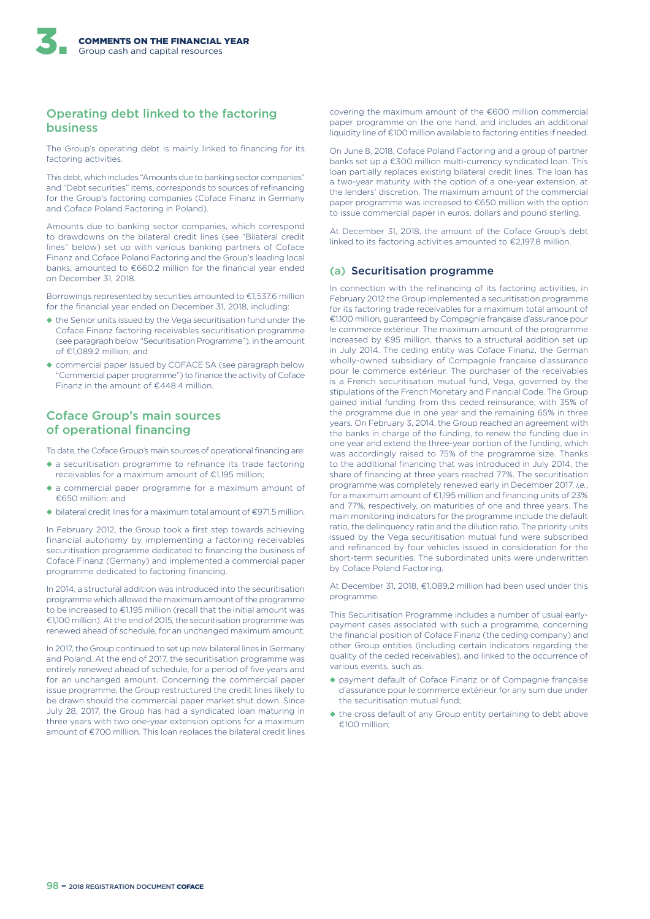#### Operating debt linked to the factoring business

The Group's operating debt is mainly linked to financing for its factoring activities.

This debt, which includes "Amounts due to banking sector companies" and "Debt securities" items, corresponds to sources of refinancing for the Group's factoring companies (Coface Finanz in Germany and Coface Poland Factoring in Poland).

Amounts due to banking sector companies, which correspond to drawdowns on the bilateral credit lines (see "Bilateral credit lines" below) set up with various banking partners of Coface Finanz and Coface Poland Factoring and the Group's leading local banks, amounted to €660.2 million for the financial year ended on December 31, 2018.

Borrowings represented by securities amounted to €1,537.6 million for the financial year ended on December 31, 2018, including:

- ◆ the Senior units issued by the Vega securitisation fund under the Coface Finanz factoring receivables securitisation programme (see paragraph below "Securitisation Programme"), in the amount of €1,089.2 million; and
- ◆ commercial paper issued by COFACE SA (see paragraph below "Commercial paper programme") to finance the activity of Coface Finanz in the amount of €448.4 million.

#### Coface Group's main sources of operational financing

To date, the Coface Group's main sources of operational financing are:

- ◆ a securitisation programme to refinance its trade factoring receivables for a maximum amount of €1,195 million;
- ◆ a commercial paper programme for a maximum amount of €650 million; and
- ◆ bilateral credit lines for a maximum total amount of €971.5 million.

In February 2012, the Group took a first step towards achieving financial autonomy by implementing a factoring receivables securitisation programme dedicated to financing the business of Coface Finanz (Germany) and implemented a commercial paper programme dedicated to factoring financing.

In 2014, a structural addition was introduced into the securitisation programme which allowed the maximum amount of the programme to be increased to €1,195 million (recall that the initial amount was €1,100 million). At the end of 2015, the securitisation programme was renewed ahead of schedule, for an unchanged maximum amount.

In 2017, the Group continued to set up new bilateral lines in Germany and Poland. At the end of 2017, the securitisation programme was entirely renewed ahead of schedule, for a period of five years and for an unchanged amount. Concerning the commercial paper issue programme, the Group restructured the credit lines likely to be drawn should the commercial paper market shut down. Since July 28, 2017, the Group has had a syndicated loan maturing in three years with two one-year extension options for a maximum amount of €700 million. This loan replaces the bilateral credit lines

covering the maximum amount of the €600 million commercial paper programme on the one hand, and includes an additional liquidity line of €100 million available to factoring entities if needed.

On June 8, 2018, Coface Poland Factoring and a group of partner banks set up a €300 million multi-currency syndicated loan. This loan partially replaces existing bilateral credit lines. The loan has a two-year maturity with the option of a one-year extension, at the lenders' discretion. The maximum amount of the commercial paper programme was increased to €650 million with the option to issue commercial paper in euros, dollars and pound sterling.

At December 31, 2018, the amount of the Coface Group's debt linked to its factoring activities amounted to €2,197.8 million.

#### (a) Securitisation programme

In connection with the refinancing of its factoring activities, in February 2012 the Group implemented a securitisation programme for its factoring trade receivables for a maximum total amount of €1,100 million, guaranteed by Compagnie française d'assurance pour le commerce extérieur. The maximum amount of the programme increased by €95 million, thanks to a structural addition set up in July 2014. The ceding entity was Coface Finanz, the German wholly-owned subsidiary of Compagnie française d'assurance pour le commerce extérieur. The purchaser of the receivables is a French securitisation mutual fund, Vega, governed by the stipulations of the French Monetary and Financial Code. The Group gained initial funding from this ceded reinsurance, with 35% of the programme due in one year and the remaining 65% in three years. On February 3, 2014, the Group reached an agreement with the banks in charge of the funding, to renew the funding due in one year and extend the three-year portion of the funding, which was accordingly raised to 75% of the programme size. Thanks to the additional financing that was introduced in July 2014, the share of financing at three years reached 77%. The securitisation programme was completely renewed early in December 2017, *i.e.*, for a maximum amount of €1,195 million and financing units of 23% and 77%, respectively, on maturities of one and three years. The main monitoring indicators for the programme include the default ratio, the delinquency ratio and the dilution ratio. The priority units issued by the Vega securitisation mutual fund were subscribed and refinanced by four vehicles issued in consideration for the short-term securities. The subordinated units were underwritten by Coface Poland Factoring.

At December 31, 2018, €1,089.2 million had been used under this programme.

This Securitisation Programme includes a number of usual earlypayment cases associated with such a programme, concerning the financial position of Coface Finanz (the ceding company) and other Group entities (including certain indicators regarding the quality of the ceded receivables), and linked to the occurrence of various events, such as:

- ◆ payment default of Coface Finanz or of Compagnie française d'assurance pour le commerce extérieur for any sum due under the securitisation mutual fund;
- ◆ the cross default of any Group entity pertaining to debt above €100 million;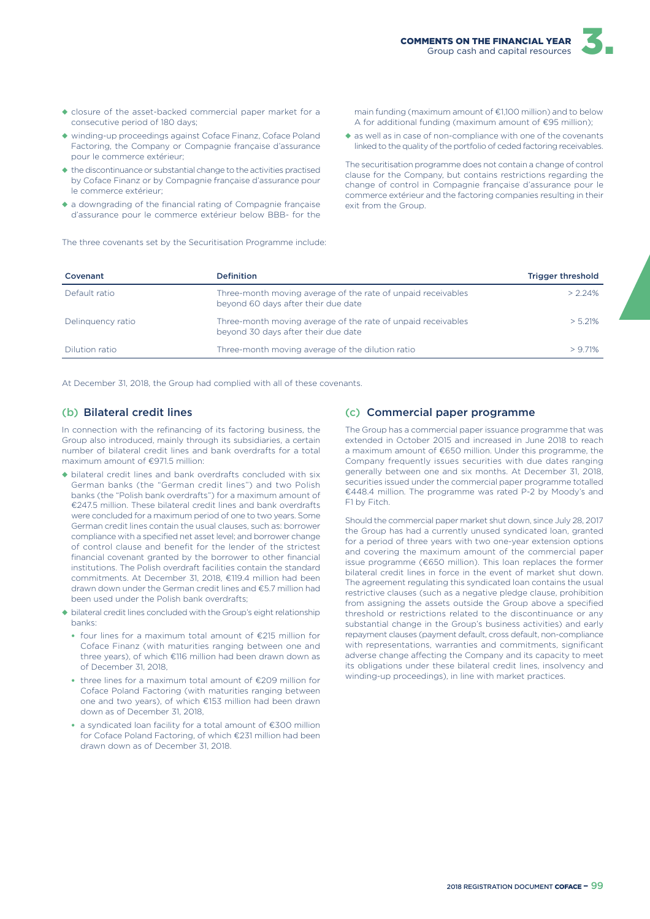

- ◆ closure of the asset-backed commercial paper market for a consecutive period of 180 days;
- ◆ winding-up proceedings against Coface Finanz, Coface Poland Factoring, the Company or Compagnie française d'assurance pour le commerce extérieur;
- ◆ the discontinuance or substantial change to the activities practised by Coface Finanz or by Compagnie française d'assurance pour le commerce extérieur;
- ◆ a downgrading of the financial rating of Compagnie française d'assurance pour le commerce extérieur below BBB- for the

The three covenants set by the Securitisation Programme include:

main funding (maximum amount of €1,100 million) and to below A for additional funding (maximum amount of €95 million);

◆ as well as in case of non-compliance with one of the covenants linked to the quality of the portfolio of ceded factoring receivables.

The securitisation programme does not contain a change of control clause for the Company, but contains restrictions regarding the change of control in Compagnie française d'assurance pour le commerce extérieur and the factoring companies resulting in their exit from the Group.

| Covenant          | <b>Definition</b>                                                                                   | <b>Trigger threshold</b> |
|-------------------|-----------------------------------------------------------------------------------------------------|--------------------------|
| Default ratio     | Three-month moving average of the rate of unpaid receivables<br>beyond 60 days after their due date | $> 2.24\%$               |
| Delinguency ratio | Three-month moving average of the rate of unpaid receivables<br>beyond 30 days after their due date | $> 5.21\%$               |
| Dilution ratio    | Three-month moving average of the dilution ratio                                                    | > 971%                   |

At December 31, 2018, the Group had complied with all of these covenants.

#### (b) Bilateral credit lines

In connection with the refinancing of its factoring business, the Group also introduced, mainly through its subsidiaries, a certain number of bilateral credit lines and bank overdrafts for a total maximum amount of €971.5 million:

- ◆ bilateral credit lines and bank overdrafts concluded with six German banks (the "German credit lines") and two Polish banks (the "Polish bank overdrafts") for a maximum amount of €247.5 million. These bilateral credit lines and bank overdrafts were concluded for a maximum period of one to two years. Some German credit lines contain the usual clauses, such as: borrower compliance with a specified net asset level; and borrower change of control clause and benefit for the lender of the strictest financial covenant granted by the borrower to other financial institutions. The Polish overdraft facilities contain the standard commitments. At December 31, 2018, €119.4 million had been drawn down under the German credit lines and €5.7 million had been used under the Polish bank overdrafts;
- ◆ bilateral credit lines concluded with the Group's eight relationship banks:
	- four lines for a maximum total amount of  $E$ 215 million for Coface Finanz (with maturities ranging between one and three years), of which €116 million had been drawn down as of December 31, 2018,
	- three lines for a maximum total amount of €209 million for Coface Poland Factoring (with maturities ranging between one and two years), of which €153 million had been drawn down as of December 31, 2018,
	- a syndicated loan facility for a total amount of €300 million for Coface Poland Factoring, of which €231 million had been drawn down as of December 31, 2018.

#### (c) Commercial paper programme

The Group has a commercial paper issuance programme that was extended in October 2015 and increased in June 2018 to reach a maximum amount of €650 million. Under this programme, the Company frequently issues securities with due dates ranging generally between one and six months. At December 31, 2018, securities issued under the commercial paper programme totalled €448.4 million. The programme was rated P-2 by Moody's and F1 by Fitch.

Should the commercial paper market shut down, since July 28, 2017 the Group has had a currently unused syndicated loan, granted for a period of three years with two one-year extension options and covering the maximum amount of the commercial paper issue programme (€650 million). This loan replaces the former bilateral credit lines in force in the event of market shut down. The agreement regulating this syndicated loan contains the usual restrictive clauses (such as a negative pledge clause, prohibition from assigning the assets outside the Group above a specified threshold or restrictions related to the discontinuance or any substantial change in the Group's business activities) and early repayment clauses (payment default, cross default, non-compliance with representations, warranties and commitments, significant adverse change affecting the Company and its capacity to meet its obligations under these bilateral credit lines, insolvency and winding-up proceedings), in line with market practices.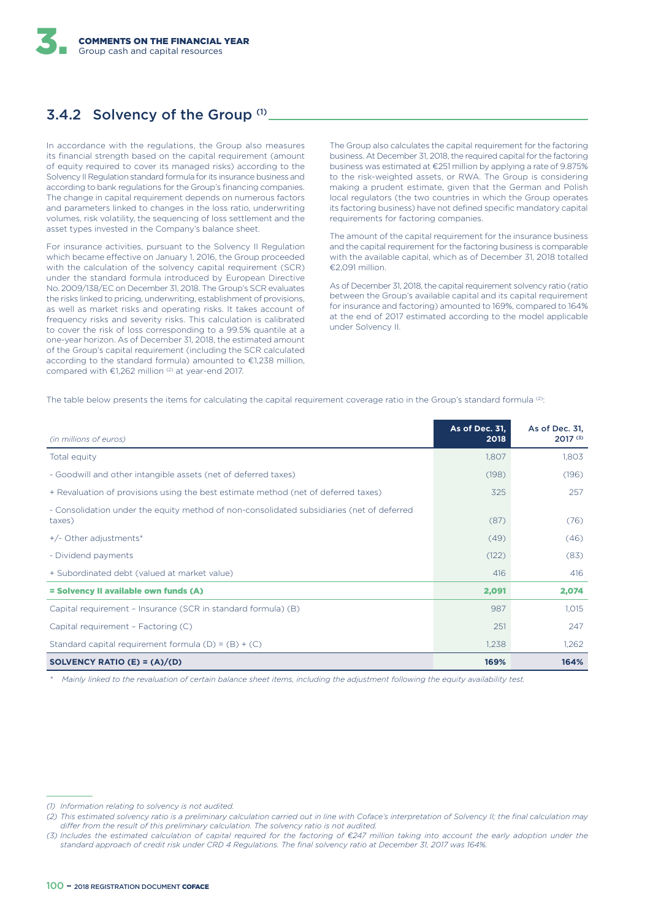# 3.4.2 Solvency of the Group (1)

In accordance with the regulations, the Group also measures its financial strength based on the capital requirement (amount of equity required to cover its managed risks) according to the Solvency II Regulation standard formula for its insurance business and according to bank regulations for the Group's financing companies. The change in capital requirement depends on numerous factors and parameters linked to changes in the loss ratio, underwriting volumes, risk volatility, the sequencing of loss settlement and the asset types invested in the Company's balance sheet.

For insurance activities, pursuant to the Solvency II Regulation which became effective on January 1, 2016, the Group proceeded with the calculation of the solvency capital requirement (SCR) under the standard formula introduced by European Directive No. 2009/138/EC on December 31, 2018. The Group's SCR evaluates the risks linked to pricing, underwriting, establishment of provisions, as well as market risks and operating risks. It takes account of frequency risks and severity risks. This calculation is calibrated to cover the risk of loss corresponding to a 99.5% quantile at a one-year horizon. As of December 31, 2018, the estimated amount of the Group's capital requirement (including the SCR calculated according to the standard formula) amounted to €1,238 million, compared with  $\epsilon$ 1,262 million<sup>(2)</sup> at year-end 2017.

The Group also calculates the capital requirement for the factoring business. At December 31, 2018, the required capital for the factoring business was estimated at €251 million by applying a rate of 9.875% to the risk-weighted assets, or RWA. The Group is considering making a prudent estimate, given that the German and Polish local regulators (the two countries in which the Group operates its factoring business) have not defined specific mandatory capital requirements for factoring companies.

The amount of the capital requirement for the insurance business and the capital requirement for the factoring business is comparable with the available capital, which as of December 31, 2018 totalled €2,091 million.

As of December 31, 2018, the capital requirement solvency ratio (ratio between the Group's available capital and its capital requirement for insurance and factoring) amounted to 169%, compared to 164% at the end of 2017 estimated according to the model applicable under Solvency II.

The table below presents the items for calculating the capital requirement coverage ratio in the Group's standard formula (2):

| (in millions of euros)                                                                              | As of Dec. 31,<br>2018 | As of Dec. 31,<br>$2017^{(3)}$ |
|-----------------------------------------------------------------------------------------------------|------------------------|--------------------------------|
| Total equity                                                                                        | 1,807                  | 1,803                          |
| - Goodwill and other intangible assets (net of deferred taxes)                                      | (198)                  | (196)                          |
| + Revaluation of provisions using the best estimate method (net of deferred taxes)                  | 325                    | 257                            |
| - Consolidation under the equity method of non-consolidated subsidiaries (net of deferred<br>taxes) | (87)                   | (76)                           |
| +/- Other adjustments*                                                                              | (49)                   | (46)                           |
| - Dividend payments                                                                                 | (122)                  | (83)                           |
| + Subordinated debt (valued at market value)                                                        | 416                    | 416                            |
| = Solvency II available own funds (A)                                                               | 2,091                  | 2,074                          |
| Capital requirement - Insurance (SCR in standard formula) (B)                                       | 987                    | 1,015                          |
| Capital requirement - Factoring (C)                                                                 | 251                    | 247                            |
| Standard capital requirement formula $(D) = (B) + (C)$                                              | 1,238                  | 1,262                          |
| SOLVENCY RATIO (E) = $(A)/(D)$                                                                      | 169%                   | 164%                           |

*\* Mainly linked to the revaluation of certain balance sheet items, including the adjustment following the equity availability test.*

*<sup>(1)</sup> Information relating to solvency is not audited.*

*<sup>(2)</sup> This estimated solvency ratio is a preliminary calculation carried out in line with Coface's interpretation of Solvency II; the final calculation may*  differ from the result of this preliminary calculation. The solvency ratio is not audited.

*<sup>(3)</sup> Includes the estimated calculation of capital required for the factoring of €247 million taking into account the early adoption under the standard approach of credit risk under CRD 4 Regulations. The final solvency ratio at December 31, 2017 was 164%.*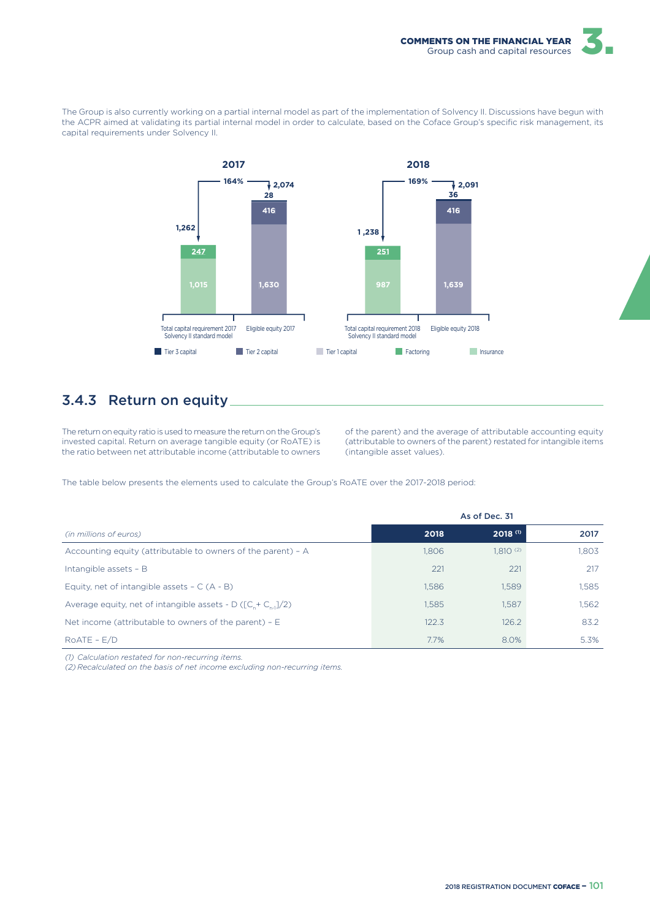

The Group is also currently working on a partial internal model as part of the implementation of Solvency II. Discussions have begun with the ACPR aimed at validating its partial internal model in order to calculate, based on the Coface Group's specific risk management, its capital requirements under Solvency II.



## 3.4.3 Return on equity

The return on equity ratio is used to measure the return on the Group's invested capital. Return on average tangible equity (or RoATE) is the ratio between net attributable income (attributable to owners

of the parent) and the average of attributable accounting equity (attributable to owners of the parent) restated for intangible items (intangible asset values).

The table below presents the elements used to calculate the Group's RoATE over the 2017-2018 period:

|                                                                |       | As of Dec. 31         |       |
|----------------------------------------------------------------|-------|-----------------------|-------|
| (in millions of euros)                                         | 2018  | $2018$ <sup>(1)</sup> | 2017  |
| Accounting equity (attributable to owners of the parent) - A   | 1.806 | $1,810^{(2)}$         | 1.803 |
| Intangible assets - B                                          | 221   | 221                   | 217   |
| Equity, net of intangible assets $- C (A - B)$                 | 1,586 | 1,589                 | 1.585 |
| Average equity, net of intangible assets - D ( $[C + C_1]/2$ ) | 1.585 | 1.587                 | 1.562 |
| Net income (attributable to owners of the parent) $- E$        | 122.3 | 126.2                 | 83.2  |
| $ROATE - E/D$                                                  | 7.7%  | 8.0%                  | 5.3%  |

*(1) Calculation restated for non-recurring items.*

*(2) Recalculated on the basis of net income excluding non-recurring items.*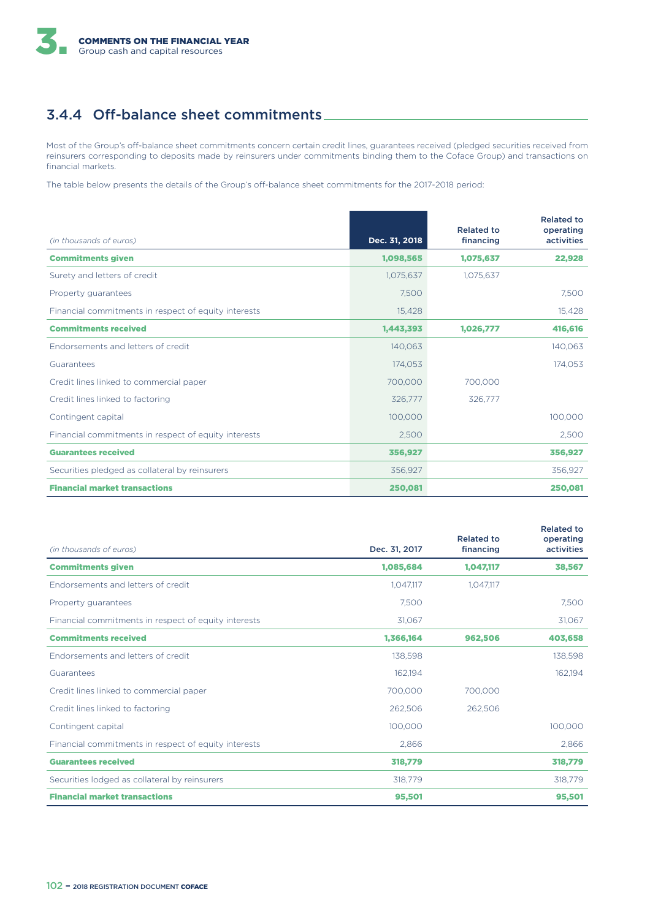# 3.4.4 Off-balance sheet commitments.

Most of the Group's off-balance sheet commitments concern certain credit lines, guarantees received (pledged securities received from reinsurers corresponding to deposits made by reinsurers under commitments binding them to the Coface Group) and transactions on financial markets.

The table below presents the details of the Group's off-balance sheet commitments for the 2017-2018 period:

| (in thousands of euros)                              | Dec. 31, 2018 | <b>Related to</b><br>financing | <b>Related to</b><br>operating<br>activities |
|------------------------------------------------------|---------------|--------------------------------|----------------------------------------------|
| <b>Commitments given</b>                             | 1,098,565     | 1,075,637                      | 22,928                                       |
| Surety and letters of credit                         | 1,075,637     | 1,075,637                      |                                              |
| Property quarantees                                  | 7,500         |                                | 7,500                                        |
| Financial commitments in respect of equity interests | 15,428        |                                | 15,428                                       |
| <b>Commitments received</b>                          | 1,443,393     | 1,026,777                      | 416,616                                      |
| Endorsements and letters of credit                   | 140,063       |                                | 140,063                                      |
| Guarantees                                           | 174,053       |                                | 174,053                                      |
| Credit lines linked to commercial paper              | 700,000       | 700,000                        |                                              |
| Credit lines linked to factoring                     | 326,777       | 326,777                        |                                              |
| Contingent capital                                   | 100,000       |                                | 100,000                                      |
| Financial commitments in respect of equity interests | 2,500         |                                | 2,500                                        |
| <b>Guarantees received</b>                           | 356,927       |                                | 356,927                                      |
| Securities pledged as collateral by reinsurers       | 356,927       |                                | 356,927                                      |
| <b>Financial market transactions</b>                 | 250,081       |                                | 250,081                                      |

|                                                      |               | <b>Related to</b> | <b>Related to</b><br>operating |
|------------------------------------------------------|---------------|-------------------|--------------------------------|
| (in thousands of euros)                              | Dec. 31, 2017 | financing         | <b>activities</b>              |
| <b>Commitments given</b>                             | 1,085,684     | 1,047,117         | 38,567                         |
| Endorsements and letters of credit                   | 1.047.117     | 1.047.117         |                                |
| Property guarantees                                  | 7.500         |                   | 7,500                          |
| Financial commitments in respect of equity interests | 31,067        |                   | 31,067                         |
| <b>Commitments received</b>                          | 1,366,164     | 962,506           | 403,658                        |
| Endorsements and letters of credit                   | 138.598       |                   | 138,598                        |
| Guarantees                                           | 162.194       |                   | 162,194                        |
| Credit lines linked to commercial paper              | 700,000       | 700.000           |                                |
| Credit lines linked to factoring                     | 262,506       | 262,506           |                                |
| Contingent capital                                   | 100,000       |                   | 100,000                        |
| Financial commitments in respect of equity interests | 2,866         |                   | 2,866                          |
| <b>Guarantees received</b>                           | 318,779       |                   | 318,779                        |
| Securities lodged as collateral by reinsurers        | 318,779       |                   | 318,779                        |
| <b>Financial market transactions</b>                 | 95,501        |                   | 95,501                         |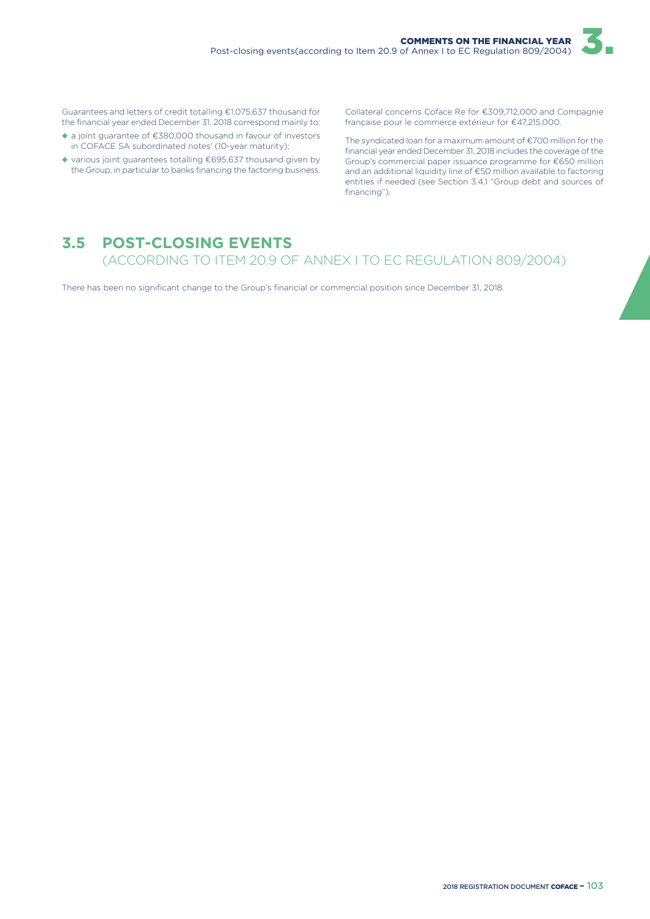Guarantees and letters of credit totalling €1,075,637 thousand for the financial year ended December 31, 2018 correspond mainly to:

- ◆ a joint guarantee of €380,000 thousand in favour of investors in COFACE SA subordinated notes' (10-year maturity);
- ◆ various joint guarantees totalling €695,637 thousand given by the Group, in particular to banks financing the factoring business.

Collateral concerns Coface Re for €309,712,000 and Compagnie française pour le commerce extérieur for €47,215,000.

The syndicated loan for a maximum amount of €700 million for the financial year ended December 31, 2018 includes the coverage of the Group's commercial paper issuance programme for €650 million and an additional liquidity line of €50 million available to factoring entities if needed (see Section 3.4.1 "Group debt and sources of financing").

# **3.5 POST-CLOSING EVENTS**

(ACCORDING TO ITEM 20.9 OF ANNEX I TO EC REGULATION 809/2004)

There has been no significant change to the Group's financial or commercial position since December 31, 2018.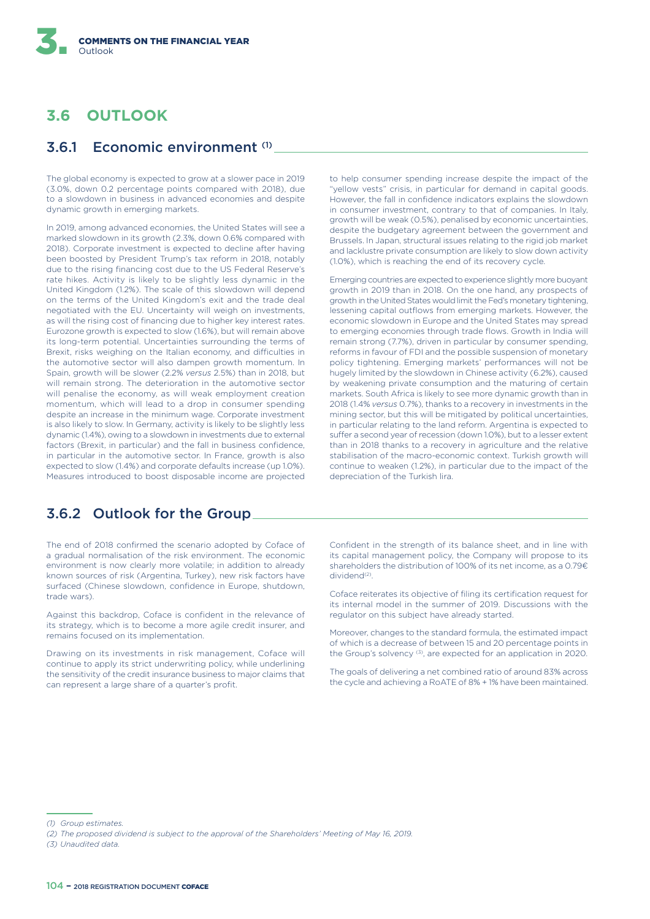# **3.6 OUTLOOK**

### 3.6.1 Economic environment (1)

The global economy is expected to grow at a slower pace in 2019 (3.0%, down 0.2 percentage points compared with 2018), due to a slowdown in business in advanced economies and despite dynamic growth in emerging markets.

In 2019, among advanced economies, the United States will see a marked slowdown in its growth (2.3%, down 0.6% compared with 2018). Corporate investment is expected to decline after having been boosted by President Trump's tax reform in 2018, notably due to the rising financing cost due to the US Federal Reserve's rate hikes. Activity is likely to be slightly less dynamic in the United Kingdom (1.2%). The scale of this slowdown will depend on the terms of the United Kingdom's exit and the trade deal negotiated with the EU. Uncertainty will weigh on investments, as will the rising cost of financing due to higher key interest rates. Eurozone growth is expected to slow (1.6%), but will remain above its long-term potential. Uncertainties surrounding the terms of Brexit, risks weighing on the Italian economy, and difficulties in the automotive sector will also dampen growth momentum. In Spain, growth will be slower (2.2% *versus* 2.5%) than in 2018, but will remain strong. The deterioration in the automotive sector will penalise the economy, as will weak employment creation momentum, which will lead to a drop in consumer spending despite an increase in the minimum wage. Corporate investment is also likely to slow. In Germany, activity is likely to be slightly less dynamic (1.4%), owing to a slowdown in investments due to external factors (Brexit, in particular) and the fall in business confidence, in particular in the automotive sector. In France, growth is also expected to slow (1.4%) and corporate defaults increase (up 1.0%). Measures introduced to boost disposable income are projected

to help consumer spending increase despite the impact of the "yellow vests" crisis, in particular for demand in capital goods. However, the fall in confidence indicators explains the slowdown in consumer investment, contrary to that of companies. In Italy, growth will be weak (0.5%), penalised by economic uncertainties, despite the budgetary agreement between the government and Brussels. In Japan, structural issues relating to the rigid job market and lacklustre private consumption are likely to slow down activity (1.0%), which is reaching the end of its recovery cycle.

Emerging countries are expected to experience slightly more buoyant growth in 2019 than in 2018. On the one hand, any prospects of growth in the United States would limit the Fed's monetary tightening, lessening capital outflows from emerging markets. However, the economic slowdown in Europe and the United States may spread to emerging economies through trade flows. Growth in India will remain strong (7.7%), driven in particular by consumer spending, reforms in favour of FDI and the possible suspension of monetary policy tightening. Emerging markets' performances will not be hugely limited by the slowdown in Chinese activity (6.2%), caused by weakening private consumption and the maturing of certain markets. South Africa is likely to see more dynamic growth than in 2018 (1.4% *versus* 0.7%), thanks to a recovery in investments in the mining sector, but this will be mitigated by political uncertainties, in particular relating to the land reform. Argentina is expected to suffer a second year of recession (down 1.0%), but to a lesser extent than in 2018 thanks to a recovery in agriculture and the relative stabilisation of the macro-economic context. Turkish growth will continue to weaken (1.2%), in particular due to the impact of the depreciation of the Turkish lira.

# 3.6.2 Outlook for the Group

The end of 2018 confirmed the scenario adopted by Coface of a gradual normalisation of the risk environment. The economic environment is now clearly more volatile; in addition to already known sources of risk (Argentina, Turkey), new risk factors have surfaced (Chinese slowdown, confidence in Europe, shutdown, trade wars).

Against this backdrop, Coface is confident in the relevance of its strategy, which is to become a more agile credit insurer, and remains focused on its implementation.

Drawing on its investments in risk management, Coface will continue to apply its strict underwriting policy, while underlining the sensitivity of the credit insurance business to major claims that can represent a large share of a quarter's profit.

Confident in the strength of its balance sheet, and in line with its capital management policy, the Company will propose to its shareholders the distribution of 100% of its net income, as a 0.79€ dividend<sup>(2)</sup>.

Coface reiterates its objective of filing its certification request for its internal model in the summer of 2019. Discussions with the regulator on this subject have already started.

Moreover, changes to the standard formula, the estimated impact of which is a decrease of between 15 and 20 percentage points in the Group's solvency (3), are expected for an application in 2020.

The goals of delivering a net combined ratio of around 83% across the cycle and achieving a RoATE of 8% + 1% have been maintained.

*<sup>(1)</sup> Group estimates.*

*<sup>(2)</sup> The proposed dividend is subject to the approval of the Shareholders' Meeting of May 16, 2019.*

*<sup>(3)</sup> Unaudited data.*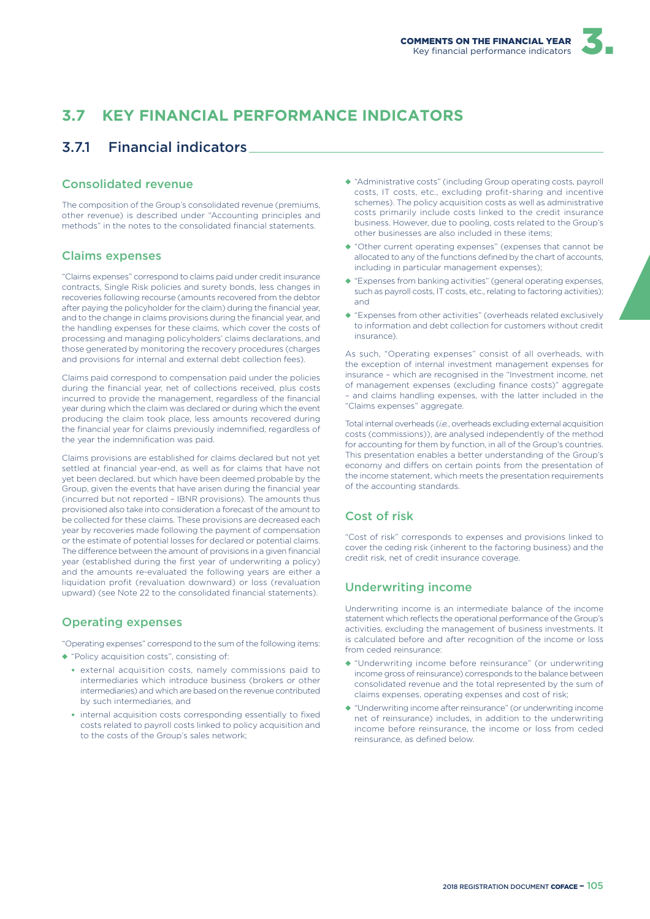# **3.7 KEY FINANCIAL PERFORMANCE INDICATORS**

# 3.7.1 Financial indicators

#### Consolidated revenue

The composition of the Group's consolidated revenue (premiums, other revenue) is described under "Accounting principles and methods" in the notes to the consolidated financial statements.

### Claims expenses

"Claims expenses" correspond to claims paid under credit insurance contracts, Single Risk policies and surety bonds, less changes in recoveries following recourse (amounts recovered from the debtor after paying the policyholder for the claim) during the financial year, and to the change in claims provisions during the financial year, and the handling expenses for these claims, which cover the costs of processing and managing policyholders' claims declarations, and those generated by monitoring the recovery procedures (charges and provisions for internal and external debt collection fees).

Claims paid correspond to compensation paid under the policies during the financial year, net of collections received, plus costs incurred to provide the management, regardless of the financial year during which the claim was declared or during which the event producing the claim took place, less amounts recovered during the financial year for claims previously indemnified, regardless of the year the indemnification was paid.

Claims provisions are established for claims declared but not yet settled at financial year-end, as well as for claims that have not yet been declared, but which have been deemed probable by the Group, given the events that have arisen during the financial year (incurred but not reported – IBNR provisions). The amounts thus provisioned also take into consideration a forecast of the amount to be collected for these claims. These provisions are decreased each year by recoveries made following the payment of compensation or the estimate of potential losses for declared or potential claims. The difference between the amount of provisions in a given financial year (established during the first year of underwriting a policy) and the amounts re-evaluated the following years are either a liquidation profit (revaluation downward) or loss (revaluation upward) (see Note 22 to the consolidated financial statements).

#### Operating expenses

"Operating expenses" correspond to the sum of the following items:

- ◆ "Policy acquisition costs", consisting of:
	- external acquisition costs, namely commissions paid to intermediaries which introduce business (brokers or other intermediaries) and which are based on the revenue contributed by such intermediaries, and
	- internal acquisition costs corresponding essentially to fixed costs related to payroll costs linked to policy acquisition and to the costs of the Group's sales network;
- ◆ "Administrative costs" (including Group operating costs, payroll costs, IT costs, etc., excluding profit-sharing and incentive schemes). The policy acquisition costs as well as administrative costs primarily include costs linked to the credit insurance business. However, due to pooling, costs related to the Group's other businesses are also included in these items;
- ◆ "Other current operating expenses" (expenses that cannot be allocated to any of the functions defined by the chart of accounts, including in particular management expenses);
- ◆ "Expenses from banking activities" (general operating expenses, such as payroll costs, IT costs, etc., relating to factoring activities); and
- ◆ "Expenses from other activities" (overheads related exclusively to information and debt collection for customers without credit insurance).

As such, "Operating expenses" consist of all overheads, with the exception of internal investment management expenses for insurance – which are recognised in the "Investment income, net of management expenses (excluding finance costs)" aggregate – and claims handling expenses, with the latter included in the "Claims expenses" aggregate.

Total internal overheads (*i.e.*, overheads excluding external acquisition costs (commissions)), are analysed independently of the method for accounting for them by function, in all of the Group's countries. This presentation enables a better understanding of the Group's economy and differs on certain points from the presentation of the income statement, which meets the presentation requirements of the accounting standards.

### Cost of risk

"Cost of risk" corresponds to expenses and provisions linked to cover the ceding risk (inherent to the factoring business) and the credit risk, net of credit insurance coverage.

### Underwriting income

Underwriting income is an intermediate balance of the income statement which reflects the operational performance of the Group's activities, excluding the management of business investments. It is calculated before and after recognition of the income or loss from ceded reinsurance:

- ◆ "Underwriting income before reinsurance" (or underwriting income gross of reinsurance) corresponds to the balance between consolidated revenue and the total represented by the sum of claims expenses, operating expenses and cost of risk;
- ◆ "Underwriting income after reinsurance" (or underwriting income net of reinsurance) includes, in addition to the underwriting income before reinsurance, the income or loss from ceded reinsurance, as defined below.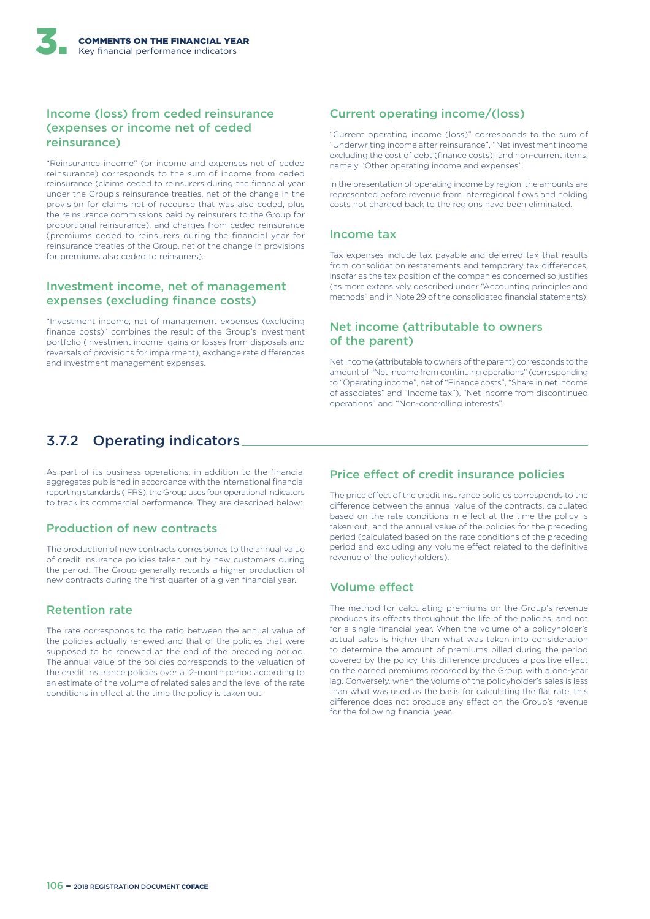### Income (loss) from ceded reinsurance (expenses or income net of ceded reinsurance)

"Reinsurance income" (or income and expenses net of ceded reinsurance) corresponds to the sum of income from ceded reinsurance (claims ceded to reinsurers during the financial year under the Group's reinsurance treaties, net of the change in the provision for claims net of recourse that was also ceded, plus the reinsurance commissions paid by reinsurers to the Group for proportional reinsurance), and charges from ceded reinsurance (premiums ceded to reinsurers during the financial year for reinsurance treaties of the Group, net of the change in provisions for premiums also ceded to reinsurers).

#### Investment income, net of management expenses (excluding finance costs)

"Investment income, net of management expenses (excluding finance costs)" combines the result of the Group's investment portfolio (investment income, gains or losses from disposals and reversals of provisions for impairment), exchange rate differences and investment management expenses.

### Current operating income/(loss)

"Current operating income (loss)" corresponds to the sum of "Underwriting income after reinsurance", "Net investment income excluding the cost of debt (finance costs)" and non-current items, namely "Other operating income and expenses".

In the presentation of operating income by region, the amounts are represented before revenue from interregional flows and holding costs not charged back to the regions have been eliminated.

#### Income tax

Tax expenses include tax payable and deferred tax that results from consolidation restatements and temporary tax differences, insofar as the tax position of the companies concerned so justifies (as more extensively described under "Accounting principles and methods" and in Note 29 of the consolidated financial statements).

#### Net income (attributable to owners of the parent)

Net income (attributable to owners of the parent) corresponds to the amount of "Net income from continuing operations" (corresponding to "Operating income", net of "Finance costs", "Share in net income of associates" and "Income tax"), "Net income from discontinued operations" and "Non-controlling interests".

# 3.7.2 Operating indicators

As part of its business operations, in addition to the financial aggregates published in accordance with the international financial reporting standards (IFRS), the Group uses four operational indicators to track its commercial performance. They are described below:

#### Production of new contracts

The production of new contracts corresponds to the annual value of credit insurance policies taken out by new customers during the period. The Group generally records a higher production of new contracts during the first quarter of a given financial year.

#### Retention rate

The rate corresponds to the ratio between the annual value of the policies actually renewed and that of the policies that were supposed to be renewed at the end of the preceding period. The annual value of the policies corresponds to the valuation of the credit insurance policies over a 12-month period according to an estimate of the volume of related sales and the level of the rate conditions in effect at the time the policy is taken out.

#### Price effect of credit insurance policies

The price effect of the credit insurance policies corresponds to the difference between the annual value of the contracts, calculated based on the rate conditions in effect at the time the policy is taken out, and the annual value of the policies for the preceding period (calculated based on the rate conditions of the preceding period and excluding any volume effect related to the definitive revenue of the policyholders).

### Volume effect

The method for calculating premiums on the Group's revenue produces its effects throughout the life of the policies, and not for a single financial year. When the volume of a policyholder's actual sales is higher than what was taken into consideration to determine the amount of premiums billed during the period covered by the policy, this difference produces a positive effect on the earned premiums recorded by the Group with a one-year lag. Conversely, when the volume of the policyholder's sales is less than what was used as the basis for calculating the flat rate, this difference does not produce any effect on the Group's revenue for the following financial year.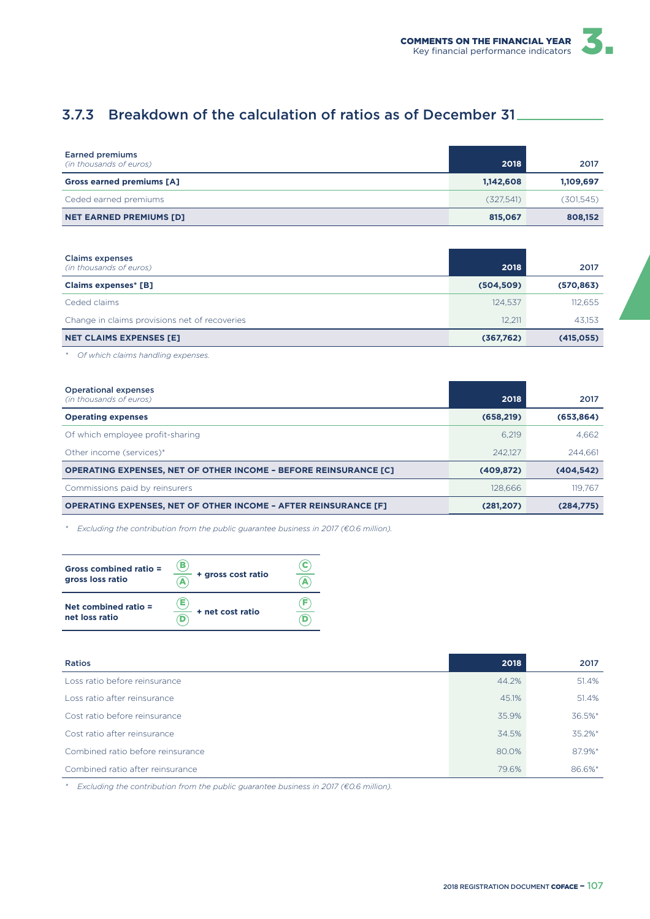

# 3.7.3 Breakdown of the calculation of ratios as of December 31

| <b>Earned premiums</b><br>(in thousands of euros) | 2018      | 2017      |
|---------------------------------------------------|-----------|-----------|
| <b>Gross earned premiums [A]</b>                  | 1,142,608 | 1,109,697 |
| Ceded earned premiums                             | (327.541) | (301,545) |
| <b>NET EARNED PREMIUMS [D]</b>                    | 815,067   | 808,152   |

| <b>Claims expenses</b><br>(in thousands of euros) | 2018       | 2017       |
|---------------------------------------------------|------------|------------|
| <b>Claims expenses* [B]</b>                       | (504, 509) | (570, 863) |
| Ceded claims                                      | 124.537    | 112,655    |
| Change in claims provisions net of recoveries     | 12.211     | 43.153     |
| <b>NET CLAIMS EXPENSES [E]</b>                    | (367,762)  | (415, 055) |

*\* Of which claims handling expenses.*

| <b>Operational expenses</b><br>(in thousands of euros)                  | 2018       | 2017       |
|-------------------------------------------------------------------------|------------|------------|
| <b>Operating expenses</b>                                               | (658, 219) | (653,864)  |
| Of which employee profit-sharing                                        | 6.219      | 4.662      |
|                                                                         | 242.127    | 244.661    |
| Other income (services)*                                                |            |            |
| <b>OPERATING EXPENSES, NET OF OTHER INCOME - BEFORE REINSURANCE [C]</b> | (409, 872) | (404, 542) |
| Commissions paid by reinsurers                                          | 128,666    | 119.767    |
| <b>OPERATING EXPENSES, NET OF OTHER INCOME - AFTER REINSURANCE [F]</b>  | (281, 207) | (284.775)  |

*\* Excluding the contribution from the public guarantee business in 2017 (€0.6 million).*

| Gross combined ratio =<br>gross loss ratio | в<br>+ gross cost ratio |  |
|--------------------------------------------|-------------------------|--|
| Net combined ratio $=$<br>net loss ratio   | Е<br>+ net cost ratio   |  |

| Ratios                            | 2018  | 2017   |
|-----------------------------------|-------|--------|
| Loss ratio before reinsurance     | 44.2% | 51.4%  |
| Loss ratio after reinsurance      | 45.1% | 51.4%  |
| Cost ratio before reinsurance     | 35.9% | 36.5%* |
| Cost ratio after reinsurance      | 34.5% | 35.2%* |
| Combined ratio before reinsurance | 80.0% | 87.9%* |
| Combined ratio after reinsurance  | 79.6% | 86.6%* |

*\* Excluding the contribution from the public guarantee business in 2017 (€0.6 million).*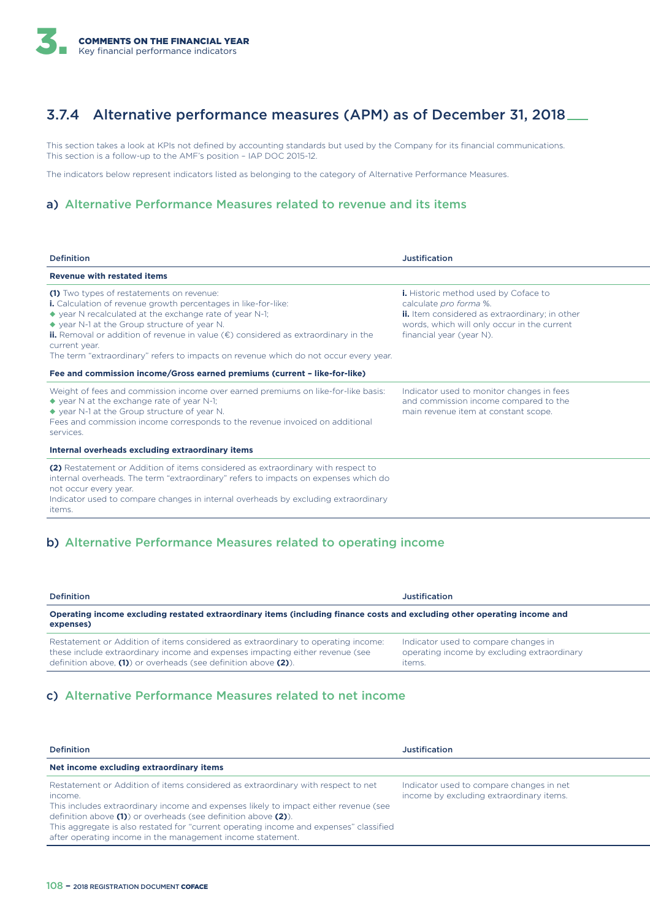# 3.7.4 Alternative performance measures (APM) as of December 31, 2018

This section takes a look at KPIs not defined by accounting standards but used by the Company for its financial communications. This section is a follow-up to the AMF's position – IAP DOC 2015-12.

The indicators below represent indicators listed as belonging to the category of Alternative Performance Measures.

#### a) Alternative Performance Measures related to revenue and its items

| <b>Definition</b>                                                                                                                                                                                                                                                                                                                                                                                                                                    | Justification                                                                                                                                                                                             |
|------------------------------------------------------------------------------------------------------------------------------------------------------------------------------------------------------------------------------------------------------------------------------------------------------------------------------------------------------------------------------------------------------------------------------------------------------|-----------------------------------------------------------------------------------------------------------------------------------------------------------------------------------------------------------|
| <b>Revenue with restated items</b>                                                                                                                                                                                                                                                                                                                                                                                                                   |                                                                                                                                                                                                           |
| (1) Two types of restatements on revenue:<br><b>i.</b> Calculation of revenue growth percentages in like-for-like:<br>$\bullet$ year N recalculated at the exchange rate of year N-1;<br>◆ year N-1 at the Group structure of year N.<br><b>ii.</b> Removal or addition of revenue in value $(\epsilon)$ considered as extraordinary in the<br>current year.<br>The term "extraordinary" refers to impacts on revenue which do not occur every year. | <b>i.</b> Historic method used by Coface to<br>calculate pro forma %.<br><b>ii.</b> Item considered as extraordinary; in other<br>words, which will only occur in the current<br>financial year (year N). |
| Fee and commission income/Gross earned premiums (current - like-for-like)                                                                                                                                                                                                                                                                                                                                                                            |                                                                                                                                                                                                           |
| Weight of fees and commission income over earned premiums on like-for-like basis:<br>$\blacklozenge$ year N at the exchange rate of year N-1;<br>◆ year N-1 at the Group structure of year N.<br>Fees and commission income corresponds to the revenue invoiced on additional<br>services.                                                                                                                                                           | Indicator used to monitor changes in fees<br>and commission income compared to the<br>main revenue item at constant scope.                                                                                |
| Internal overheads excluding extraordinary items                                                                                                                                                                                                                                                                                                                                                                                                     |                                                                                                                                                                                                           |
| (2) Restatement or Addition of items considered as extraordinary with respect to<br>internal overheads. The term "extraordinary" refers to impacts on expenses which do<br>not occur every year.<br>Indicator used to compare changes in internal overheads by excluding extraordinary<br><i>items.</i>                                                                                                                                              |                                                                                                                                                                                                           |

#### b) Alternative Performance Measures related to operating income

| <b>Definition</b>                                                                                                                                                                                                                    | <b>Justification</b>                                                                          |
|--------------------------------------------------------------------------------------------------------------------------------------------------------------------------------------------------------------------------------------|-----------------------------------------------------------------------------------------------|
| Operating income excluding restated extraordinary items (including finance costs and excluding other operating income and<br>expenses)                                                                                               |                                                                                               |
| Restatement or Addition of items considered as extraordinary to operating income:<br>these include extraordinary income and expenses impacting either revenue (see<br>definition above, (1) or overheads (see definition above (2)). | Indicator used to compare changes in<br>operating income by excluding extraordinary<br>items. |

#### c) Alternative Performance Measures related to net income

| <b>Definition</b>                                                                                                                                                                                                                                                                                                                                                                                            | Justification                                                                        |
|--------------------------------------------------------------------------------------------------------------------------------------------------------------------------------------------------------------------------------------------------------------------------------------------------------------------------------------------------------------------------------------------------------------|--------------------------------------------------------------------------------------|
| Net income excluding extraordinary items                                                                                                                                                                                                                                                                                                                                                                     |                                                                                      |
| Restatement or Addition of items considered as extraordinary with respect to net<br>income.<br>This includes extraordinary income and expenses likely to impact either revenue (see<br>definition above (1) or overheads (see definition above (2)).<br>This aggregate is also restated for "current operating income and expenses" classified<br>after operating income in the management income statement. | Indicator used to compare changes in net<br>income by excluding extraordinary items. |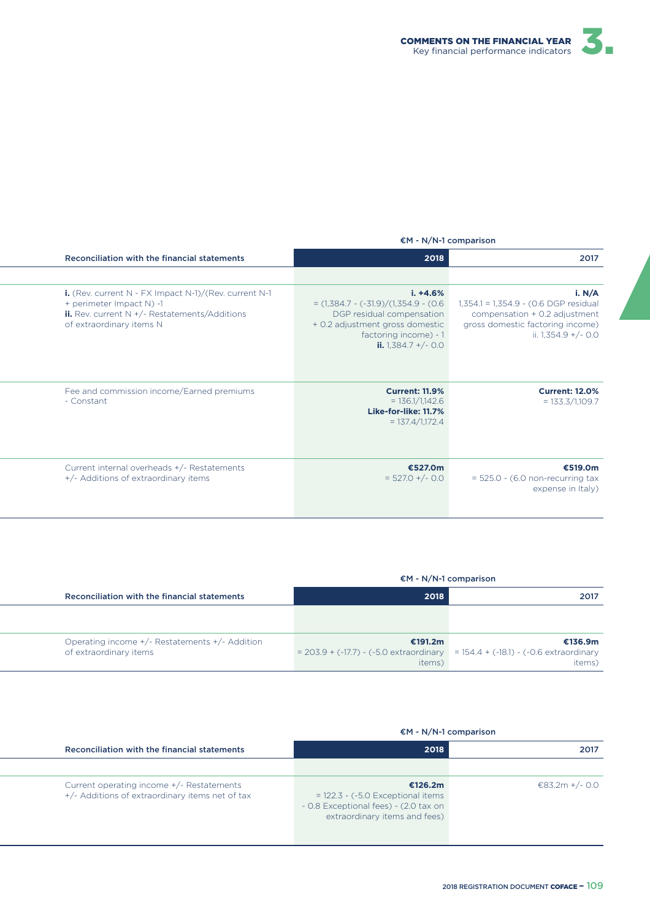

#### €M - N/N-1 comparison

| 2017                                                                                                                                        | 2018                                                                                                                                                                     | Reconciliation with the financial statements                                                                                                                                    |
|---------------------------------------------------------------------------------------------------------------------------------------------|--------------------------------------------------------------------------------------------------------------------------------------------------------------------------|---------------------------------------------------------------------------------------------------------------------------------------------------------------------------------|
|                                                                                                                                             |                                                                                                                                                                          |                                                                                                                                                                                 |
| i. N/A<br>1,354.1 = 1,354.9 - (0.6 DGP residual<br>compensation + 0.2 adjustment<br>gross domestic factoring income)<br>ii. 1,354.9 +/- 0.0 | $i. +4.6%$<br>$=$ (1,384.7 - (-31.9)/(1,354.9 - (0.6)<br>DGP residual compensation<br>+ 0.2 adjustment gross domestic<br>factoring income) - 1<br>ii. $1,384.7 + (-0.0)$ | i. (Rev. current $N$ - FX Impact $N-1$ )/(Rev. current $N-1$<br>+ perimeter Impact N) -1<br><b>ii.</b> Rev. current $N + (-$ Restatements/Additions<br>of extraordinary items N |
| <b>Current: 12.0%</b><br>$= 133.3/1,109.7$                                                                                                  | <b>Current: 11.9%</b><br>$= 136.1/1,142.6$<br>Like-for-like: 11.7%<br>$= 137.4/1,172.4$                                                                                  | Fee and commission income/Earned premiums<br>- Constant                                                                                                                         |
| €519.0m<br>$= 525.0 - (6.0$ non-recurring tax<br>expense in Italy)                                                                          | €527.0m<br>$= 527.0 +/- 0.0$                                                                                                                                             | Current internal overheads +/- Restatements<br>+/- Additions of extraordinary items                                                                                             |

|                                                                          | €M - N/N-1 comparison                                                                                     |                   |
|--------------------------------------------------------------------------|-----------------------------------------------------------------------------------------------------------|-------------------|
| Reconciliation with the financial statements                             | 2018                                                                                                      | 2017              |
|                                                                          |                                                                                                           |                   |
|                                                                          |                                                                                                           |                   |
| Operating income +/- Restatements +/- Addition<br>of extraordinary items | €191.2m<br>$= 203.9 + (-17.7) - (-5.0$ extraordinary $= 154.4 + (-18.1) - (-0.6)$ extraordinary<br>items) | €136.9m<br>items) |

| $EM - N/N-1$ comparison                                                                                                  |                |
|--------------------------------------------------------------------------------------------------------------------------|----------------|
| 2018                                                                                                                     | 2017           |
| €126.2m<br>$= 122.3 - (-5.0$ Exceptional items<br>- 0.8 Exceptional fees) - (2.0 tax on<br>extraordinary items and fees) | €83.2m +/- 0.0 |
|                                                                                                                          |                |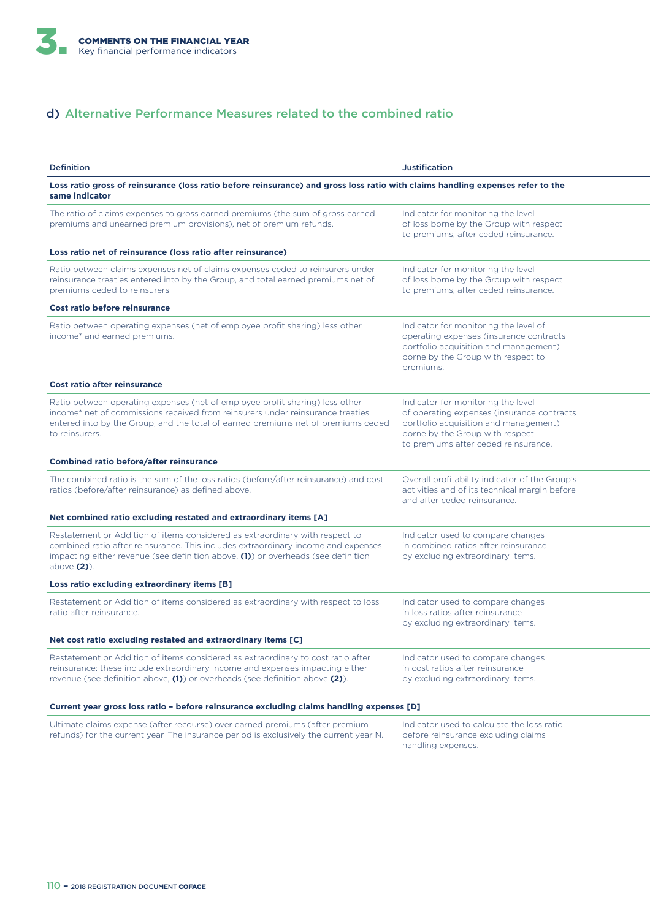

### d) Alternative Performance Measures related to the combined ratio

| <b>Definition</b>                                                                                                                                                                                                                                                        | <b>Justification</b>                                                                                                                                                                                 |
|--------------------------------------------------------------------------------------------------------------------------------------------------------------------------------------------------------------------------------------------------------------------------|------------------------------------------------------------------------------------------------------------------------------------------------------------------------------------------------------|
| Loss ratio gross of reinsurance (loss ratio before reinsurance) and gross loss ratio with claims handling expenses refer to the<br>same indicator                                                                                                                        |                                                                                                                                                                                                      |
| The ratio of claims expenses to gross earned premiums (the sum of gross earned<br>premiums and unearned premium provisions), net of premium refunds.                                                                                                                     | Indicator for monitoring the level<br>of loss borne by the Group with respect<br>to premiums, after ceded reinsurance.                                                                               |
| Loss ratio net of reinsurance (loss ratio after reinsurance)                                                                                                                                                                                                             |                                                                                                                                                                                                      |
| Ratio between claims expenses net of claims expenses ceded to reinsurers under<br>reinsurance treaties entered into by the Group, and total earned premiums net of<br>premiums ceded to reinsurers.                                                                      | Indicator for monitoring the level<br>of loss borne by the Group with respect<br>to premiums, after ceded reinsurance.                                                                               |
| Cost ratio before reinsurance                                                                                                                                                                                                                                            |                                                                                                                                                                                                      |
| Ratio between operating expenses (net of employee profit sharing) less other<br>income* and earned premiums.                                                                                                                                                             | Indicator for monitoring the level of<br>operating expenses (insurance contracts<br>portfolio acquisition and management)<br>borne by the Group with respect to<br>premiums.                         |
| <b>Cost ratio after reinsurance</b>                                                                                                                                                                                                                                      |                                                                                                                                                                                                      |
| Ratio between operating expenses (net of employee profit sharing) less other<br>income* net of commissions received from reinsurers under reinsurance treaties<br>entered into by the Group, and the total of earned premiums net of premiums ceded<br>to reinsurers.    | Indicator for monitoring the level<br>of operating expenses (insurance contracts<br>portfolio acquisition and management)<br>borne by the Group with respect<br>to premiums after ceded reinsurance. |
| <b>Combined ratio before/after reinsurance</b>                                                                                                                                                                                                                           |                                                                                                                                                                                                      |
| The combined ratio is the sum of the loss ratios (before/after reinsurance) and cost<br>ratios (before/after reinsurance) as defined above.                                                                                                                              | Overall profitability indicator of the Group's<br>activities and of its technical margin before<br>and after ceded reinsurance.                                                                      |
| Net combined ratio excluding restated and extraordinary items [A]                                                                                                                                                                                                        |                                                                                                                                                                                                      |
| Restatement or Addition of items considered as extraordinary with respect to<br>combined ratio after reinsurance. This includes extraordinary income and expenses<br>impacting either revenue (see definition above, (1)) or overheads (see definition<br>above $(2)$ ). | Indicator used to compare changes<br>in combined ratios after reinsurance<br>by excluding extraordinary items.                                                                                       |
| Loss ratio excluding extraordinary items [B]                                                                                                                                                                                                                             |                                                                                                                                                                                                      |
| Restatement or Addition of items considered as extraordinary with respect to loss<br>ratio after reinsurance.                                                                                                                                                            | Indicator used to compare changes<br>in loss ratios after reinsurance<br>by excluding extraordinary items.                                                                                           |
| Net cost ratio excluding restated and extraordinary items [C]                                                                                                                                                                                                            |                                                                                                                                                                                                      |
| Restatement or Addition of items considered as extraordinary to cost ratio after<br>reinsurance: these include extraordinary income and expenses impacting either<br>revenue (see definition above, (1)) or overheads (see definition above (2)).                        | Indicator used to compare changes<br>in cost ratios after reinsurance<br>by excluding extraordinary items.                                                                                           |
| Current year gross loss ratio - before reinsurance excluding claims handling expenses [D]                                                                                                                                                                                |                                                                                                                                                                                                      |

Ultimate claims expense (after recourse) over earned premiums (after premium refunds) for the current year. The insurance period is exclusively the current year N. Indicator used to calculate the loss ratio before reinsurance excluding claims handling expenses.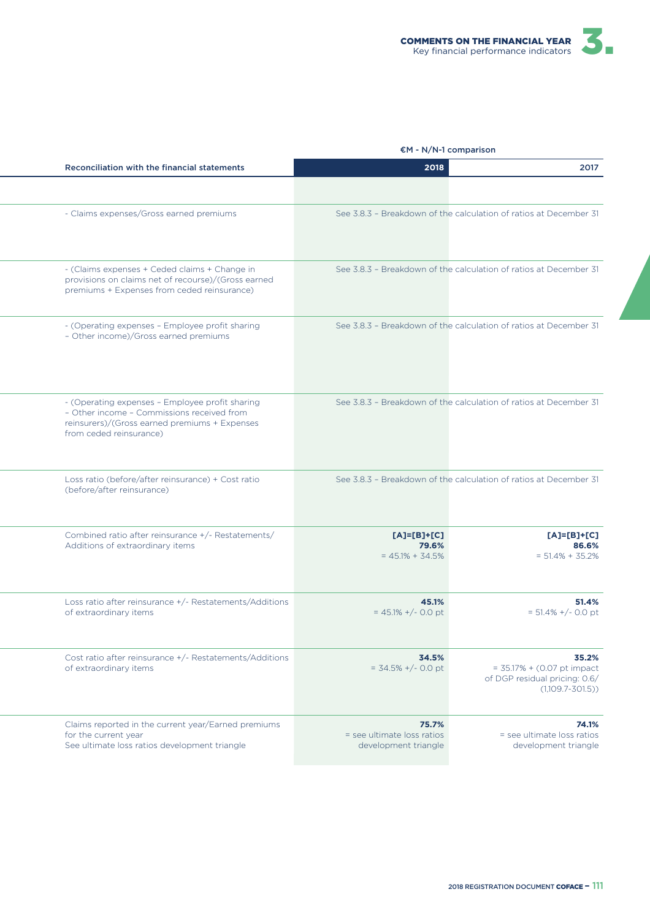

| Reconciliation with the financial statements                                                                                                                              | 2018                                                        | 2017                                                                                            |
|---------------------------------------------------------------------------------------------------------------------------------------------------------------------------|-------------------------------------------------------------|-------------------------------------------------------------------------------------------------|
|                                                                                                                                                                           |                                                             |                                                                                                 |
| - Claims expenses/Gross earned premiums                                                                                                                                   |                                                             | See 3.8.3 - Breakdown of the calculation of ratios at December 31                               |
| - (Claims expenses + Ceded claims + Change in<br>provisions on claims net of recourse)/(Gross earned<br>premiums + Expenses from ceded reinsurance)                       |                                                             | See 3.8.3 - Breakdown of the calculation of ratios at December 31                               |
| - (Operating expenses - Employee profit sharing<br>- Other income)/Gross earned premiums                                                                                  |                                                             | See 3.8.3 - Breakdown of the calculation of ratios at December 31                               |
| - (Operating expenses - Employee profit sharing<br>- Other income - Commissions received from<br>reinsurers)/(Gross earned premiums + Expenses<br>from ceded reinsurance) |                                                             | See 3.8.3 - Breakdown of the calculation of ratios at December 31                               |
| Loss ratio (before/after reinsurance) + Cost ratio<br>(before/after reinsurance)                                                                                          |                                                             | See 3.8.3 - Breakdown of the calculation of ratios at December 31                               |
| Combined ratio after reinsurance +/- Restatements/<br>Additions of extraordinary items                                                                                    | $[A]=[B]+[C]$<br>79.6%<br>$= 45.1\% + 34.5\%$               | $[A]=[B]+[C]$<br>86.6%<br>$= 51.4\% + 35.2\%$                                                   |
| Loss ratio after reinsurance +/- Restatements/Additions<br>of extraordinary items                                                                                         | 45.1%<br>$= 45.1\% + (-0.0)$                                | 51.4%<br>$= 51.4\% +/- 0.0$ pt                                                                  |
| Cost ratio after reinsurance +/- Restatements/Additions<br>of extraordinary items                                                                                         | 34.5%<br>$=$ 34.5% +/- 0.0 pt                               | 35.2%<br>$= 35.17% + (0.07 pt)$ impact<br>of DGP residual pricing: 0.6/<br>$(1,109.7 - 301.5))$ |
| Claims reported in the current year/Earned premiums<br>for the current year<br>See ultimate loss ratios development triangle                                              | 75.7%<br>= see ultimate loss ratios<br>development triangle | 74.1%<br>= see ultimate loss ratios<br>development triangle                                     |

### €M - N/N-1 comparison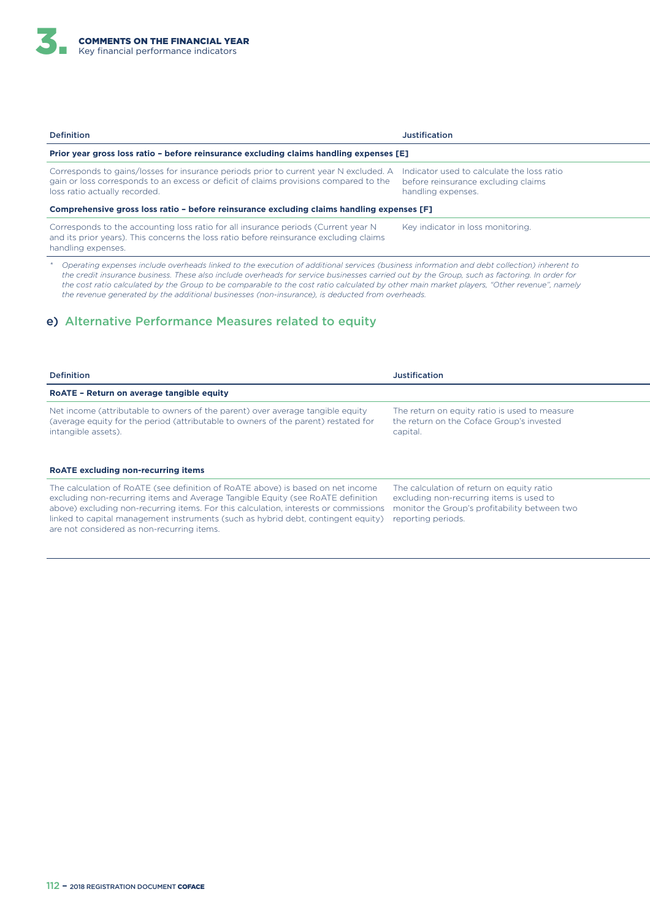| Prior year gross loss ratio - before reinsurance excluding claims handling expenses [E]                                                                                                               |  |  |  |
|-------------------------------------------------------------------------------------------------------------------------------------------------------------------------------------------------------|--|--|--|
| Indicator used to calculate the loss ratio<br>before reinsurance excluding claims<br>handling expenses.<br>Comprehensive gross loss ratio - before reinsurance excluding claims handling expenses [F] |  |  |  |
| Key indicator in loss monitoring.                                                                                                                                                                     |  |  |  |
| Corresponds to gains/losses for insurance periods prior to current year N excluded. A                                                                                                                 |  |  |  |

*\* Operating expenses include overheads linked to the execution of additional services (business information and debt collection) inherent to the credit insurance business. These also include overheads for service businesses carried out by the Group, such as factoring. In order for the cost ratio calculated by the Group to be comparable to the cost ratio calculated by other main market players, "Other revenue", namely the revenue generated by the additional businesses (non-insurance), is deducted from overheads.*

#### e) Alternative Performance Measures related to equity

| <b>Definition</b>                                                                                                                                                                                                                                                                                                                                                                             | <b>Justification</b>                                                                                                                                         |
|-----------------------------------------------------------------------------------------------------------------------------------------------------------------------------------------------------------------------------------------------------------------------------------------------------------------------------------------------------------------------------------------------|--------------------------------------------------------------------------------------------------------------------------------------------------------------|
| RoATE - Return on average tangible equity                                                                                                                                                                                                                                                                                                                                                     |                                                                                                                                                              |
| Net income (attributable to owners of the parent) over average tangible equity<br>(average equity for the period (attributable to owners of the parent) restated for<br>intangible assets).                                                                                                                                                                                                   | The return on equity ratio is used to measure<br>the return on the Coface Group's invested<br>capital.                                                       |
| <b>ROATE excluding non-recurring items</b>                                                                                                                                                                                                                                                                                                                                                    |                                                                                                                                                              |
| The calculation of RoATE (see definition of RoATE above) is based on net income<br>excluding non-recurring items and Average Tangible Equity (see RoATE definition<br>above) excluding non-recurring items. For this calculation, interests or commissions<br>linked to capital management instruments (such as hybrid debt, contingent equity)<br>are not considered as non-recurring items. | The calculation of return on equity ratio<br>excluding non-recurring items is used to<br>monitor the Group's profitability between two<br>reporting periods. |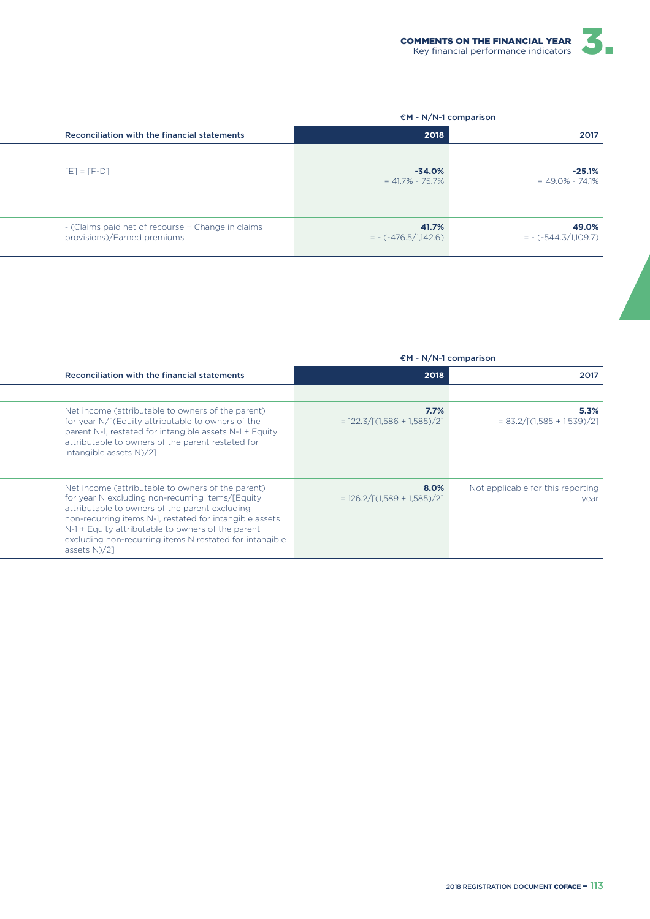

#### €M - N/N-1 comparison

€M - N/N-1 comparison

| 2017                             | 2018                             | Reconciliation with the financial statements                                     |
|----------------------------------|----------------------------------|----------------------------------------------------------------------------------|
|                                  |                                  |                                                                                  |
| $-25.1\%$<br>$= 49.0\% - 74.1\%$ | $-34.0\%$<br>$= 41.7\% - 75.7\%$ | $[E] = [F-D]$                                                                    |
| 49.0%<br>$= -(-544.3/1,109.7)$   | 41.7%<br>$= -(-476.5/1,142.6)$   | - (Claims paid net of recourse + Change in claims<br>provisions)/Earned premiums |

| Reconciliation with the financial statements                                                                                                                                                                                                                                                                                                            | 2018                                                     | 2017                                      |
|---------------------------------------------------------------------------------------------------------------------------------------------------------------------------------------------------------------------------------------------------------------------------------------------------------------------------------------------------------|----------------------------------------------------------|-------------------------------------------|
|                                                                                                                                                                                                                                                                                                                                                         |                                                          |                                           |
| Net income (attributable to owners of the parent)<br>for year N/[(Equity attributable to owners of the<br>parent N-1, restated for intangible assets N-1 + Equity<br>attributable to owners of the parent restated for<br>intangible assets N)/2]                                                                                                       | 7.7%<br>$= 122.3 / [(1.586 + 1.585)/2]$                  | 5.3%<br>$= 83.2 / [(1.585 + 1.539)/2]$    |
| Net income (attributable to owners of the parent)<br>for year N excluding non-recurring items/[Equity<br>attributable to owners of the parent excluding<br>non-recurring items N-1, restated for intangible assets<br>N-1 + Equity attributable to owners of the parent<br>excluding non-recurring items N restated for intangible<br>assets $N$ $/2$ ] | $8.0\%$<br>$= 126.2 / \lceil (1.589 + 1.585) / 2 \rceil$ | Not applicable for this reporting<br>year |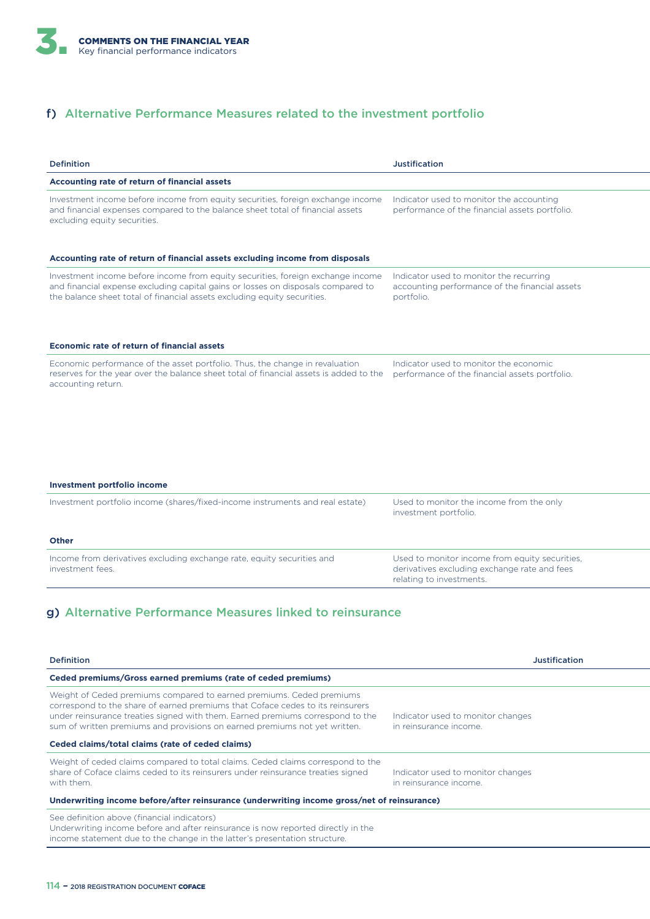### f) Alternative Performance Measures related to the investment portfolio

| <b>Definition</b>                                                                                                                                                                                                                                                                                                      | <b>Justification</b>                                                                                                       |
|------------------------------------------------------------------------------------------------------------------------------------------------------------------------------------------------------------------------------------------------------------------------------------------------------------------------|----------------------------------------------------------------------------------------------------------------------------|
| <b>Accounting rate of return of financial assets</b>                                                                                                                                                                                                                                                                   |                                                                                                                            |
| Investment income before income from equity securities, foreign exchange income<br>and financial expenses compared to the balance sheet total of financial assets<br>excluding equity securities.                                                                                                                      | Indicator used to monitor the accounting<br>performance of the financial assets portfolio.                                 |
| Accounting rate of return of financial assets excluding income from disposals                                                                                                                                                                                                                                          |                                                                                                                            |
| Investment income before income from equity securities, foreign exchange income<br>and financial expense excluding capital gains or losses on disposals compared to<br>the balance sheet total of financial assets excluding equity securities.                                                                        | Indicator used to monitor the recurring<br>accounting performance of the financial assets<br>portfolio.                    |
| Economic rate of return of financial assets                                                                                                                                                                                                                                                                            |                                                                                                                            |
| Economic performance of the asset portfolio. Thus, the change in revaluation<br>reserves for the year over the balance sheet total of financial assets is added to the<br>accounting return.                                                                                                                           | Indicator used to monitor the economic<br>performance of the financial assets portfolio.                                   |
| <b>Investment portfolio income</b><br>Investment portfolio income (shares/fixed-income instruments and real estate)                                                                                                                                                                                                    | Used to monitor the income from the only                                                                                   |
|                                                                                                                                                                                                                                                                                                                        | investment portfolio.                                                                                                      |
| <b>Other</b>                                                                                                                                                                                                                                                                                                           |                                                                                                                            |
| Income from derivatives excluding exchange rate, equity securities and<br>investment fees.                                                                                                                                                                                                                             | Used to monitor income from equity securities,<br>derivatives excluding exchange rate and fees<br>relating to investments. |
| g) Alternative Performance Measures linked to reinsurance<br><b>Definition</b>                                                                                                                                                                                                                                         | <b>Justification</b>                                                                                                       |
| Ceded premiums/Gross earned premiums (rate of ceded premiums)                                                                                                                                                                                                                                                          |                                                                                                                            |
| Weight of Ceded premiums compared to earned premiums. Ceded premiums<br>correspond to the share of earned premiums that Coface cedes to its reinsurers<br>under reinsurance treaties signed with them. Earned premiums correspond to the<br>sum of written premiums and provisions on earned premiums not yet written. | Indicator used to monitor changes<br>in reinsurance income.                                                                |
| Ceded claims/total claims (rate of ceded claims)                                                                                                                                                                                                                                                                       |                                                                                                                            |
| Weight of ceded claims compared to total claims. Ceded claims correspond to the<br>share of Coface claims ceded to its reinsurers under reinsurance treaties signed<br>with them.                                                                                                                                      | Indicator used to monitor changes<br>in reinsurance income.                                                                |
| Underwriting income before/after reinsurance (underwriting income gross/net of reinsurance)                                                                                                                                                                                                                            |                                                                                                                            |
| See definition above (financial indicators)                                                                                                                                                                                                                                                                            |                                                                                                                            |

Underwriting income before and after reinsurance is now reported directly in the income statement due to the change in the latter's presentation structure.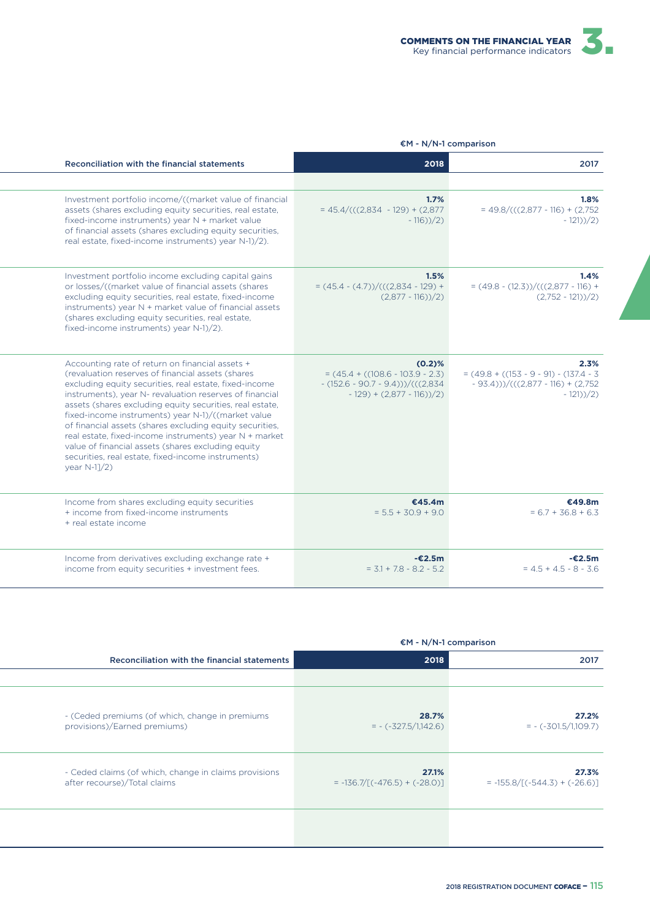

|                                                                                                                                                                                                                                                                                                                                                                                                                                                                                                                                                                                                  | $EM - N/N-1$ comparison                                                                                                       |                                                                                                          |
|--------------------------------------------------------------------------------------------------------------------------------------------------------------------------------------------------------------------------------------------------------------------------------------------------------------------------------------------------------------------------------------------------------------------------------------------------------------------------------------------------------------------------------------------------------------------------------------------------|-------------------------------------------------------------------------------------------------------------------------------|----------------------------------------------------------------------------------------------------------|
| Reconciliation with the financial statements                                                                                                                                                                                                                                                                                                                                                                                                                                                                                                                                                     | 2018                                                                                                                          | 2017                                                                                                     |
|                                                                                                                                                                                                                                                                                                                                                                                                                                                                                                                                                                                                  |                                                                                                                               |                                                                                                          |
| Investment portfolio income/((market value of financial<br>assets (shares excluding equity securities, real estate,<br>fixed-income instruments) year N + market value<br>of financial assets (shares excluding equity securities,<br>real estate, fixed-income instruments) year N-1)/2).                                                                                                                                                                                                                                                                                                       | 1.7%<br>$= 45.4/(((2,834 - 129) + (2,877))$<br>$-116$ ) $/2$ )                                                                | 1.8%<br>$= 49.8/(((2,877 - 116) + (2,752$<br>$-121$ ) $/2$ )                                             |
| Investment portfolio income excluding capital gains<br>or losses/((market value of financial assets (shares<br>excluding equity securities, real estate, fixed-income<br>instruments) year N + market value of financial assets<br>(shares excluding equity securities, real estate,<br>fixed-income instruments) year N-1)/2).                                                                                                                                                                                                                                                                  | 1.5%<br>$=(45.4 - (4.7)) / (((2.834 - 129) +$<br>$(2,877 - 116))/2$                                                           | 1.4%<br>$=(49.8 - (12.3)) / (((2.877 - 116) +$<br>$(2,752 - 121))/2$                                     |
| Accounting rate of return on financial assets +<br>(revaluation reserves of financial assets (shares<br>excluding equity securities, real estate, fixed-income<br>instruments), year N- revaluation reserves of financial<br>assets (shares excluding equity securities, real estate,<br>fixed-income instruments) year N-1)/((market value<br>of financial assets (shares excluding equity securities,<br>real estate, fixed-income instruments) year N + market<br>value of financial assets (shares excluding equity<br>securities, real estate, fixed-income instruments)<br>year $N-1]/2$ ) | $(0.2)$ %<br>$= (45.4 + ((108.6 - 103.9 - 2.3))$<br>$-(152.6 - 90.7 - 9.4)) / (((2,834)$<br>$-129$ ) + $(2,877 - 116$ ) $/2)$ | 2.3%<br>$= (49.8 + ((153 - 9 - 9)) - (137.4 - 3))$<br>$-93.4))}/((2,877-116)+(2,752)$<br>$-121$ ) $/2$ ) |
| Income from shares excluding equity securities<br>+ income from fixed-income instruments<br>+ real estate income                                                                                                                                                                                                                                                                                                                                                                                                                                                                                 | €45.4m<br>$= 5.5 + 30.9 + 9.0$                                                                                                | €49.8m<br>$= 6.7 + 36.8 + 6.3$                                                                           |
| Income from derivatives excluding exchange rate +<br>income from equity securities + investment fees.                                                                                                                                                                                                                                                                                                                                                                                                                                                                                            | $-£2.5m$<br>$= 3.1 + 7.8 - 8.2 - 5.2$                                                                                         | $-£2.5m$<br>$= 4.5 + 4.5 - 8 - 3.6$                                                                      |
|                                                                                                                                                                                                                                                                                                                                                                                                                                                                                                                                                                                                  |                                                                                                                               |                                                                                                          |

|                                                                                       | $EM - N/N-1$ comparison                  |                                          |
|---------------------------------------------------------------------------------------|------------------------------------------|------------------------------------------|
| Reconciliation with the financial statements                                          | 2018                                     | 2017                                     |
|                                                                                       |                                          |                                          |
| - (Ceded premiums (of which, change in premiums<br>provisions)/Earned premiums)       | 28.7%<br>$= -(-327.5/1,142.6)$           | 27.2%<br>$= - (-301.5/1,109.7)$          |
| - Ceded claims (of which, change in claims provisions<br>after recourse)/Total claims | 27.1%<br>$= -136.7/[(-476.5) + (-28.0)]$ | 27.3%<br>$= -155.8/[(-544.3) + (-26.6)]$ |
|                                                                                       |                                          |                                          |